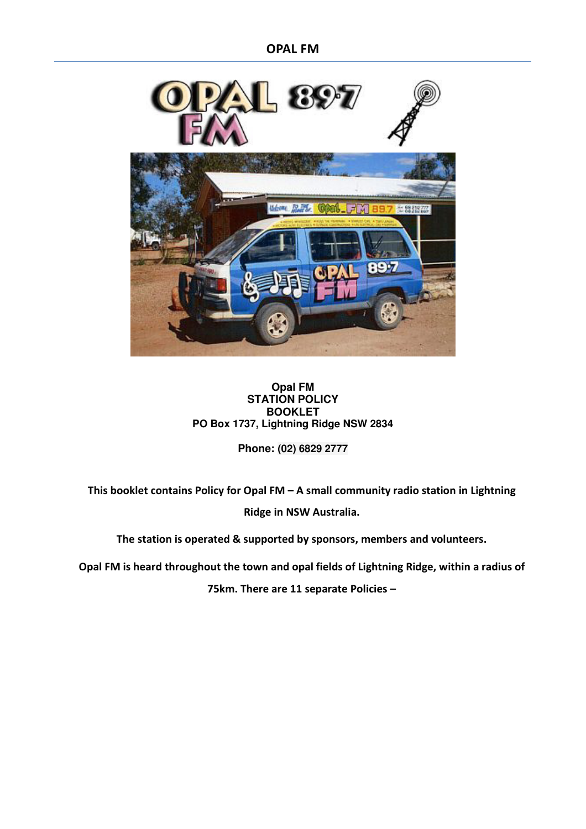**OPAL FM** 



#### **Opal FM STATION POLICY BOOKLET PO Box 1737, Lightning Ridge NSW 2834**

**Phone: (02) 6829 2777** 

**This booklet contains Policy for Opal FM – A small community radio station in Lightning Ridge in NSW Australia.** 

**The station is operated & supported by sponsors, members and volunteers.** 

**Opal FM is heard throughout the town and opal fields of Lightning Ridge, within a radius of** 

**75km. There are 11 separate Policies –**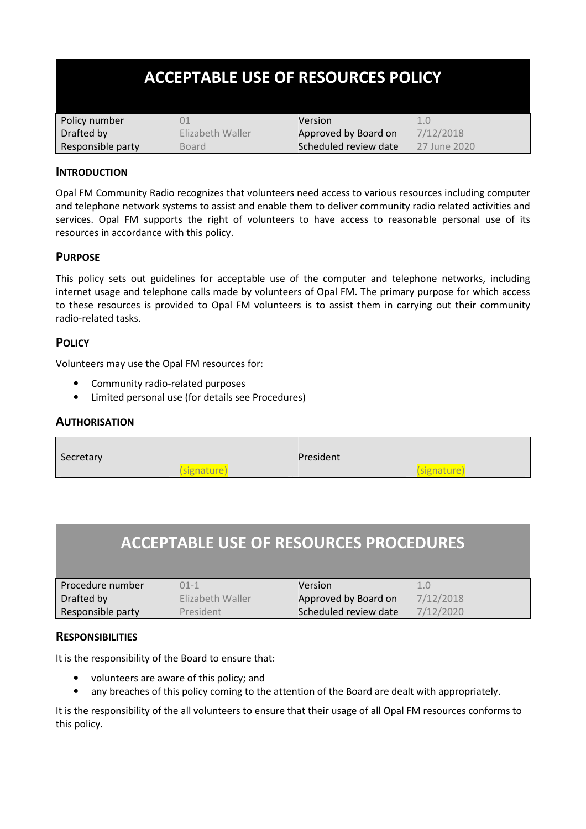| <b>ACCEPTABLE USE OF RESOURCES POLICY</b> |                  |                       |              |
|-------------------------------------------|------------------|-----------------------|--------------|
| Policy number                             | 01               | Version               | 1.0          |
| Drafted by                                | Elizabeth Waller | Approved by Board on  | 7/12/2018    |
| Responsible party                         | <b>Board</b>     | Scheduled review date | 27 June 2020 |

#### **INTRODUCTION**

Opal FM Community Radio recognizes that volunteers need access to various resources including computer and telephone network systems to assist and enable them to deliver community radio related activities and services. Opal FM supports the right of volunteers to have access to reasonable personal use of its resources in accordance with this policy.

#### **PURPOSE**

This policy sets out guidelines for acceptable use of the computer and telephone networks, including internet usage and telephone calls made by volunteers of Opal FM. The primary purpose for which access to these resources is provided to Opal FM volunteers is to assist them in carrying out their community radio-related tasks.

#### **POLICY**

Volunteers may use the Opal FM resources for:

- Community radio-related purposes
- Limited personal use (for details see Procedures)

#### **AUTHORISATION**

| Secretary |             | President |             |
|-----------|-------------|-----------|-------------|
|           | (signature) |           | (signature) |

# **ACCEPTABLE USE OF RESOURCES PROCEDURES**

| Procedure number  | 01-1             | Version               | 1.0       |
|-------------------|------------------|-----------------------|-----------|
| Drafted by        | Elizabeth Waller | Approved by Board on  | 7/12/2018 |
| Responsible party | President        | Scheduled review date | 7/12/2020 |

#### **RESPONSIBILITIES**

It is the responsibility of the Board to ensure that:

- volunteers are aware of this policy; and
- any breaches of this policy coming to the attention of the Board are dealt with appropriately.

It is the responsibility of the all volunteers to ensure that their usage of all Opal FM resources conforms to this policy.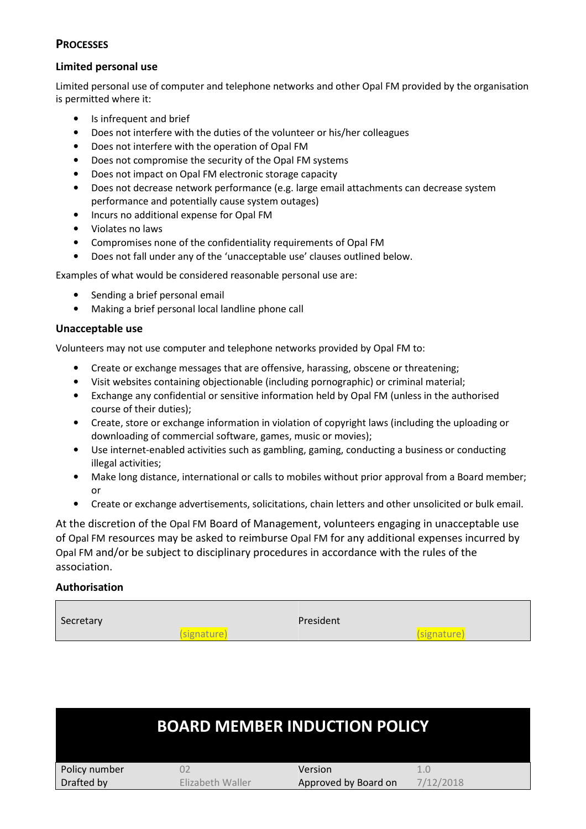#### **PROCESSES**

#### **Limited personal use**

Limited personal use of computer and telephone networks and other Opal FM provided by the organisation is permitted where it:

- Is infrequent and brief
- Does not interfere with the duties of the volunteer or his/her colleagues
- Does not interfere with the operation of Opal FM
- Does not compromise the security of the Opal FM systems
- Does not impact on Opal FM electronic storage capacity
- Does not decrease network performance (e.g. large email attachments can decrease system performance and potentially cause system outages)
- Incurs no additional expense for Opal FM
- Violates no laws
- Compromises none of the confidentiality requirements of Opal FM
- Does not fall under any of the 'unacceptable use' clauses outlined below.

Examples of what would be considered reasonable personal use are:

- Sending a brief personal email
- Making a brief personal local landline phone call

#### **Unacceptable use**

Volunteers may not use computer and telephone networks provided by Opal FM to:

- Create or exchange messages that are offensive, harassing, obscene or threatening;
- Visit websites containing objectionable (including pornographic) or criminal material;
- Exchange any confidential or sensitive information held by Opal FM (unless in the authorised course of their duties);
- Create, store or exchange information in violation of copyright laws (including the uploading or downloading of commercial software, games, music or movies);
- Use internet-enabled activities such as gambling, gaming, conducting a business or conducting illegal activities;
- Make long distance, international or calls to mobiles without prior approval from a Board member; or
- Create or exchange advertisements, solicitations, chain letters and other unsolicited or bulk email.

At the discretion of the Opal FM Board of Management, volunteers engaging in unacceptable use of Opal FM resources may be asked to reimburse Opal FM for any additional expenses incurred by Opal FM and/or be subject to disciplinary procedures in accordance with the rules of the association.

#### **Authorisation**

| Secretary |             | President |             |
|-----------|-------------|-----------|-------------|
|           | (signature) |           | (signature) |

|               | <b>BOARD MEMBER INDUCTION POLICY</b> |                      |           |  |
|---------------|--------------------------------------|----------------------|-----------|--|
| Policy number |                                      | Version              |           |  |
| Drafted by    | Flizabeth Waller                     | Approved by Board on | 7/12/2018 |  |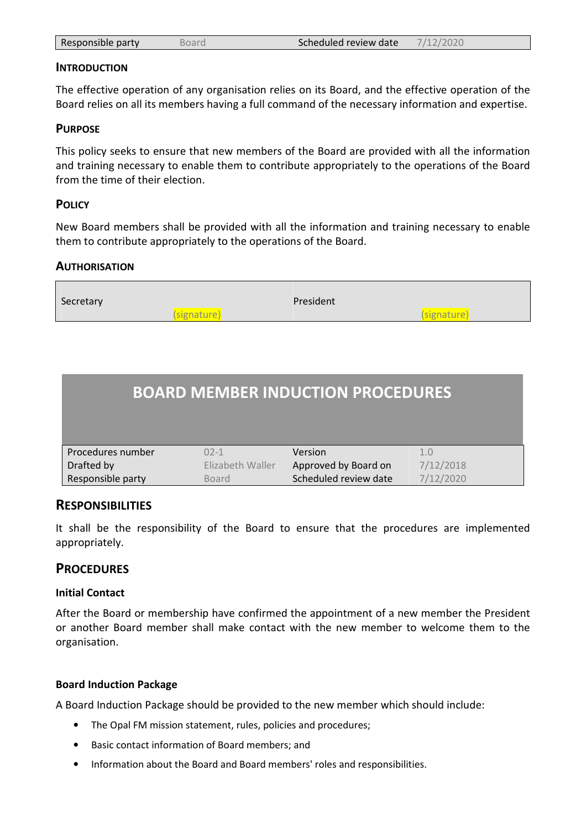| 7/12/2020<br>Scheduled review date<br>Responsible party<br>Board |  |
|------------------------------------------------------------------|--|
|------------------------------------------------------------------|--|

#### **INTRODUCTION**

The effective operation of any organisation relies on its Board, and the effective operation of the Board relies on all its members having a full command of the necessary information and expertise.

#### **PURPOSE**

This policy seeks to ensure that new members of the Board are provided with all the information and training necessary to enable them to contribute appropriately to the operations of the Board from the time of their election.

#### **POLICY**

 $\blacksquare$ 

New Board members shall be provided with all the information and training necessary to enable them to contribute appropriately to the operations of the Board.

#### **AUTHORISATION**

| Secretary | President   |  |             |
|-----------|-------------|--|-------------|
|           | (signature) |  | (signature) |

|                   |                  | <b>BOARD MEMBER INDUCTION PROCEDURES</b> |           |
|-------------------|------------------|------------------------------------------|-----------|
| Procedures number | $02 - 1$         | Version                                  | 1.0       |
| Drafted by        | Elizabeth Waller | Approved by Board on                     | 7/12/2018 |
| Responsible party | <b>Board</b>     | Scheduled review date                    | 7/12/2020 |

#### **RESPONSIBILITIES**

It shall be the responsibility of the Board to ensure that the procedures are implemented appropriately.

#### **PROCEDURES**

#### **Initial Contact**

After the Board or membership have confirmed the appointment of a new member the President or another Board member shall make contact with the new member to welcome them to the organisation.

#### **Board Induction Package**

A Board Induction Package should be provided to the new member which should include:

- The Opal FM mission statement, rules, policies and procedures;
- Basic contact information of Board members; and
- Information about the Board and Board members' roles and responsibilities.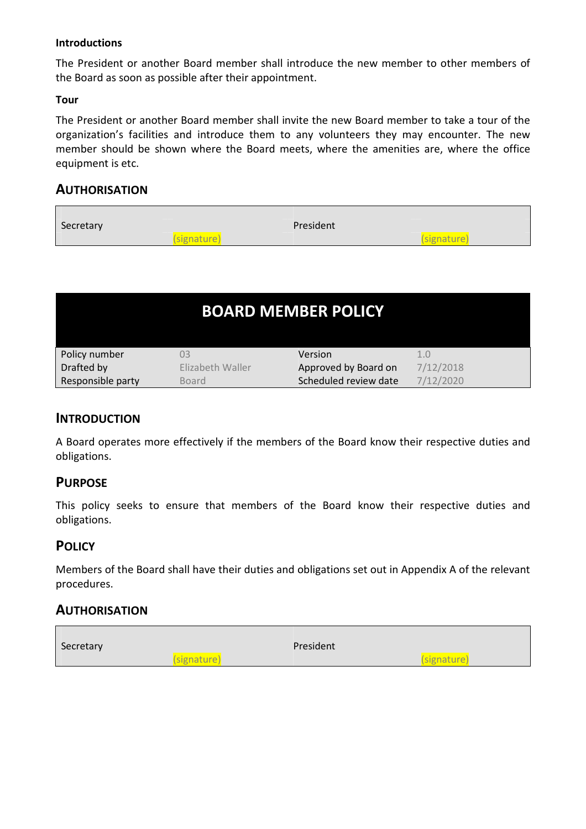#### **Introductions**

The President or another Board member shall introduce the new member to other members of the Board as soon as possible after their appointment.

#### **Tour**

The President or another Board member shall invite the new Board member to take a tour of the organization's facilities and introduce them to any volunteers they may encounter. The new member should be shown where the Board meets, where the amenities are, where the office equipment is etc.

# **AUTHORISATION**

| Secretary | President   |             |
|-----------|-------------|-------------|
|           | (signature) | (signature) |

| <b>BOARD MEMBER POLICY</b> |                  |                       |           |
|----------------------------|------------------|-----------------------|-----------|
| Policy number              | 03               | Version               |           |
| Drafted by                 | Elizabeth Waller | Approved by Board on  | 7/12/2018 |
| Responsible party          | Board            | Scheduled review date | 7/12/2020 |

# **INTRODUCTION**

A Board operates more effectively if the members of the Board know their respective duties and obligations.

#### **PURPOSE**

This policy seeks to ensure that members of the Board know their respective duties and obligations.

# **POLICY**

Members of the Board shall have their duties and obligations set out in Appendix A of the relevant procedures.

# **AUTHORISATION**

| Secretary | President   |             |
|-----------|-------------|-------------|
|           | (signature) | (signature) |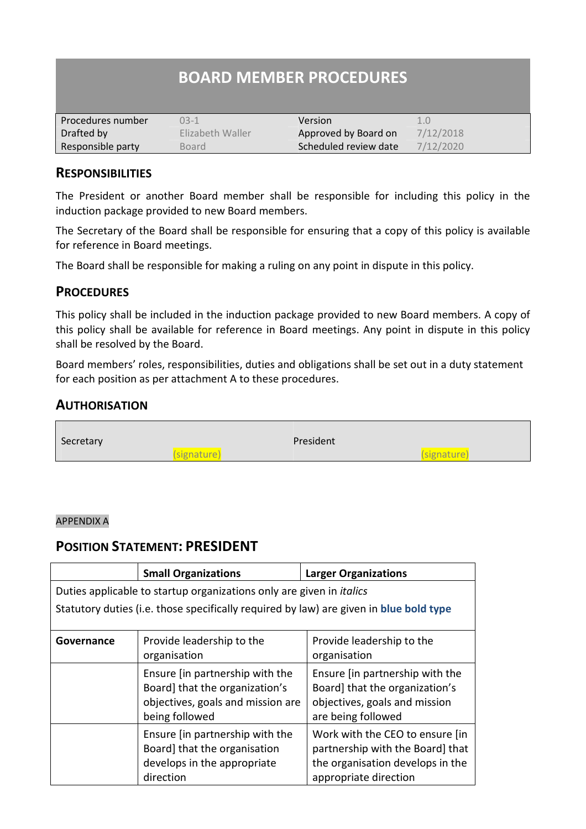| <b>BOARD MEMBER PROCEDURES</b> |                  |                       |           |
|--------------------------------|------------------|-----------------------|-----------|
| Procedures number              | $03-1$           | Version               | 1.0       |
| Drafted by                     | Elizabeth Waller | Approved by Board on  | 7/12/2018 |
| Responsible party              | <b>Board</b>     | Scheduled review date | 7/12/2020 |

# **RESPONSIBILITIES**

The President or another Board member shall be responsible for including this policy in the induction package provided to new Board members.

The Secretary of the Board shall be responsible for ensuring that a copy of this policy is available for reference in Board meetings.

The Board shall be responsible for making a ruling on any point in dispute in this policy.

# **PROCEDURES**

This policy shall be included in the induction package provided to new Board members. A copy of this policy shall be available for reference in Board meetings. Any point in dispute in this policy shall be resolved by the Board.

Board members' roles, responsibilities, duties and obligations shall be set out in a duty statement for each position as per attachment A to these procedures.

# **AUTHORISATION**



#### APPENDIX A

# **POSITION STATEMENT: PRESIDENT**

|            | <b>Small Organizations</b>                                                             | <b>Larger Organizations</b>      |
|------------|----------------------------------------------------------------------------------------|----------------------------------|
|            | Duties applicable to startup organizations only are given in <i>italics</i>            |                                  |
|            | Statutory duties (i.e. those specifically required by law) are given in blue bold type |                                  |
|            |                                                                                        |                                  |
| Governance | Provide leadership to the                                                              | Provide leadership to the        |
|            | organisation                                                                           | organisation                     |
|            | Ensure (in partnership with the                                                        | Ensure (in partnership with the  |
|            | Board] that the organization's                                                         | Board] that the organization's   |
|            | objectives, goals and mission are                                                      | objectives, goals and mission    |
|            | being followed                                                                         | are being followed               |
|            | Ensure [in partnership with the                                                        | Work with the CEO to ensure [in  |
|            | Board] that the organisation                                                           | partnership with the Board] that |
|            | develops in the appropriate                                                            | the organisation develops in the |
|            | direction                                                                              | appropriate direction            |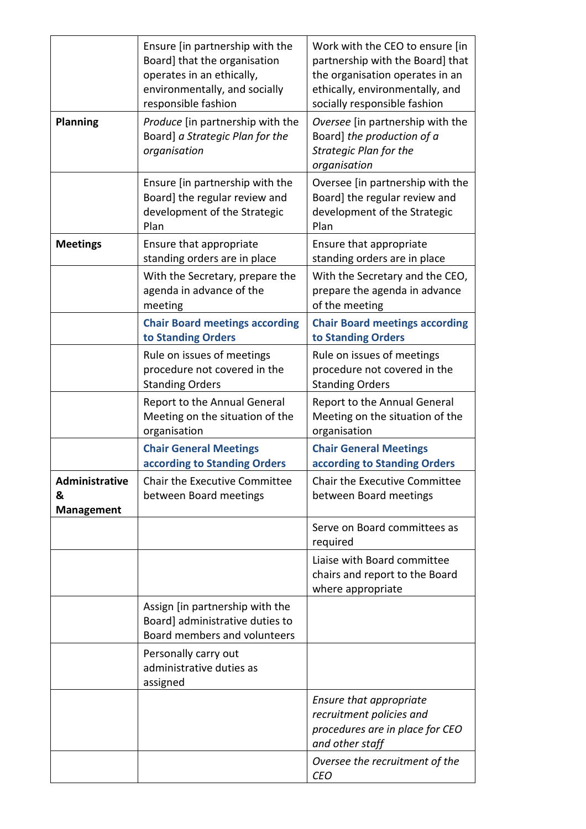|                                                 | Ensure (in partnership with the<br>Board] that the organisation<br>operates in an ethically,<br>environmentally, and socially<br>responsible fashion | Work with the CEO to ensure [in<br>partnership with the Board] that<br>the organisation operates in an<br>ethically, environmentally, and<br>socially responsible fashion |
|-------------------------------------------------|------------------------------------------------------------------------------------------------------------------------------------------------------|---------------------------------------------------------------------------------------------------------------------------------------------------------------------------|
| <b>Planning</b>                                 | Produce [in partnership with the<br>Board] a Strategic Plan for the<br>organisation                                                                  | Oversee [in partnership with the<br>Board] the production of a<br><b>Strategic Plan for the</b><br>organisation                                                           |
|                                                 | Ensure [in partnership with the<br>Board] the regular review and<br>development of the Strategic<br>Plan                                             | Oversee [in partnership with the<br>Board] the regular review and<br>development of the Strategic<br>Plan                                                                 |
| <b>Meetings</b>                                 | Ensure that appropriate<br>standing orders are in place                                                                                              | Ensure that appropriate<br>standing orders are in place                                                                                                                   |
|                                                 | With the Secretary, prepare the<br>agenda in advance of the<br>meeting                                                                               | With the Secretary and the CEO,<br>prepare the agenda in advance<br>of the meeting                                                                                        |
|                                                 | <b>Chair Board meetings according</b><br>to Standing Orders                                                                                          | <b>Chair Board meetings according</b><br>to Standing Orders                                                                                                               |
|                                                 | Rule on issues of meetings<br>procedure not covered in the<br><b>Standing Orders</b>                                                                 | Rule on issues of meetings<br>procedure not covered in the<br><b>Standing Orders</b>                                                                                      |
|                                                 | Report to the Annual General<br>Meeting on the situation of the<br>organisation                                                                      | Report to the Annual General<br>Meeting on the situation of the<br>organisation                                                                                           |
|                                                 | <b>Chair General Meetings</b><br>according to Standing Orders                                                                                        | <b>Chair General Meetings</b><br>according to Standing Orders                                                                                                             |
| <b>Administrative</b><br>&<br><b>Management</b> | Chair the Executive Committee<br>between Board meetings                                                                                              | Chair the Executive Committee<br>between Board meetings                                                                                                                   |
|                                                 |                                                                                                                                                      | Serve on Board committees as<br>required                                                                                                                                  |
|                                                 |                                                                                                                                                      | Liaise with Board committee<br>chairs and report to the Board<br>where appropriate                                                                                        |
|                                                 | Assign [in partnership with the<br>Board] administrative duties to<br>Board members and volunteers                                                   |                                                                                                                                                                           |
|                                                 | Personally carry out<br>administrative duties as<br>assigned                                                                                         |                                                                                                                                                                           |
|                                                 |                                                                                                                                                      | Ensure that appropriate<br>recruitment policies and<br>procedures are in place for CEO<br>and other staff                                                                 |
|                                                 |                                                                                                                                                      | Oversee the recruitment of the<br><b>CEO</b>                                                                                                                              |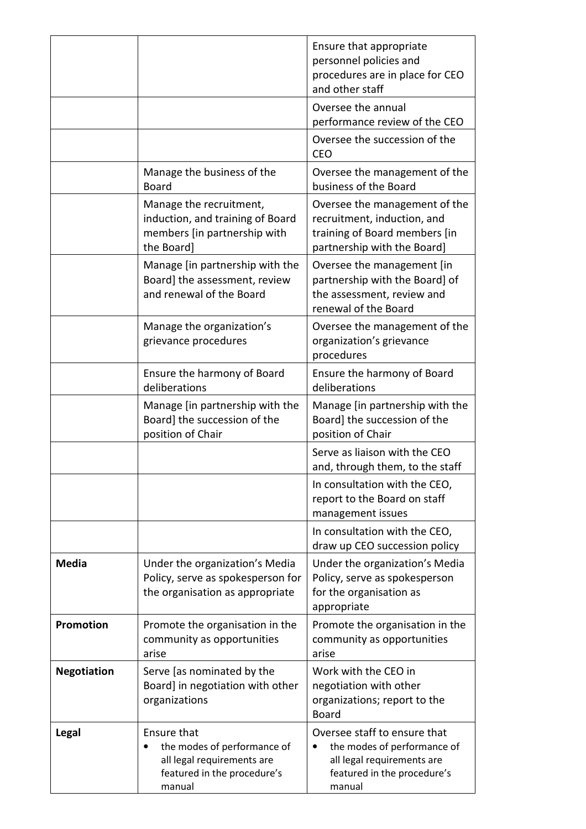|                    |                                                                                                                   | Ensure that appropriate<br>personnel policies and<br>procedures are in place for CEO<br>and other staff                            |
|--------------------|-------------------------------------------------------------------------------------------------------------------|------------------------------------------------------------------------------------------------------------------------------------|
|                    |                                                                                                                   | Oversee the annual<br>performance review of the CEO                                                                                |
|                    |                                                                                                                   | Oversee the succession of the<br><b>CEO</b>                                                                                        |
|                    | Manage the business of the<br><b>Board</b>                                                                        | Oversee the management of the<br>business of the Board                                                                             |
|                    | Manage the recruitment,<br>induction, and training of Board<br>members [in partnership with<br>the Board]         | Oversee the management of the<br>recruitment, induction, and<br>training of Board members [in<br>partnership with the Board]       |
|                    | Manage [in partnership with the<br>Board] the assessment, review<br>and renewal of the Board                      | Oversee the management [in<br>partnership with the Board] of<br>the assessment, review and<br>renewal of the Board                 |
|                    | Manage the organization's<br>grievance procedures                                                                 | Oversee the management of the<br>organization's grievance<br>procedures                                                            |
|                    | Ensure the harmony of Board<br>deliberations                                                                      | Ensure the harmony of Board<br>deliberations                                                                                       |
|                    | Manage [in partnership with the<br>Board] the succession of the<br>position of Chair                              | Manage [in partnership with the<br>Board] the succession of the<br>position of Chair                                               |
|                    |                                                                                                                   | Serve as liaison with the CEO<br>and, through them, to the staff                                                                   |
|                    |                                                                                                                   | In consultation with the CEO,<br>report to the Board on staff<br>management issues                                                 |
|                    |                                                                                                                   | In consultation with the CEO,<br>draw up CEO succession policy                                                                     |
| <b>Media</b>       | Under the organization's Media<br>Policy, serve as spokesperson for<br>the organisation as appropriate            | Under the organization's Media<br>Policy, serve as spokesperson<br>for the organisation as<br>appropriate                          |
| Promotion          | Promote the organisation in the<br>community as opportunities<br>arise                                            | Promote the organisation in the<br>community as opportunities<br>arise                                                             |
| <b>Negotiation</b> | Serve [as nominated by the<br>Board] in negotiation with other<br>organizations                                   | Work with the CEO in<br>negotiation with other<br>organizations; report to the<br><b>Board</b>                                     |
| <b>Legal</b>       | Ensure that<br>the modes of performance of<br>all legal requirements are<br>featured in the procedure's<br>manual | Oversee staff to ensure that<br>the modes of performance of<br>all legal requirements are<br>featured in the procedure's<br>manual |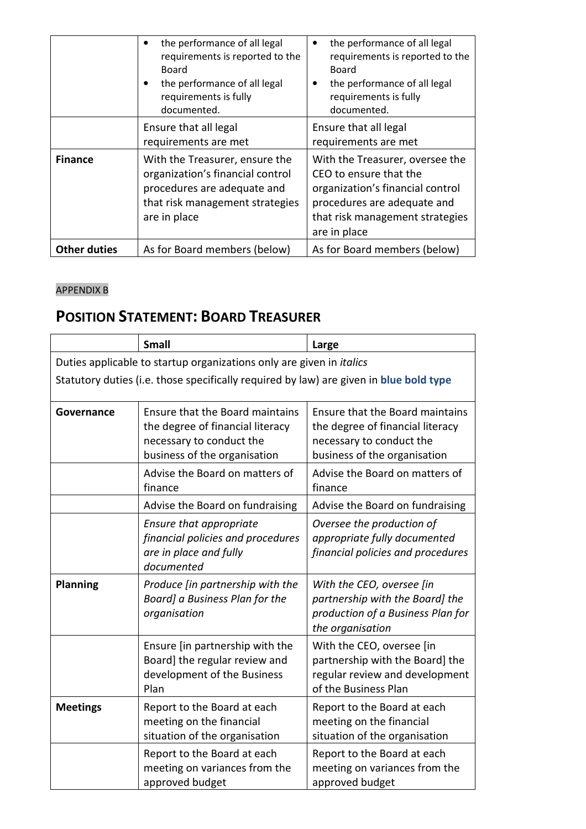|                     | the performance of all legal<br>requirements is reported to the<br>Board<br>the performance of all legal<br>requirements is fully<br>documented.     | the performance of all legal<br>requirements is reported to the<br>Board<br>the performance of all legal<br>requirements is fully<br>documented.                                |
|---------------------|------------------------------------------------------------------------------------------------------------------------------------------------------|---------------------------------------------------------------------------------------------------------------------------------------------------------------------------------|
|                     | Ensure that all legal<br>requirements are met                                                                                                        | Ensure that all legal<br>requirements are met                                                                                                                                   |
| <b>Finance</b>      | With the Treasurer, ensure the<br>organization's financial control<br>procedures are adequate and<br>that risk management strategies<br>are in place | With the Treasurer, oversee the<br>CEO to ensure that the<br>organization's financial control<br>procedures are adequate and<br>that risk management strategies<br>are in place |
| <b>Other duties</b> | As for Board members (below)                                                                                                                         | As for Board members (below)                                                                                                                                                    |

# APPENDIX B

# **POSITION STATEMENT: BOARD TREASURER**

|                 | <b>Small</b>                                                                                                                    | Large                                                                                                                           |
|-----------------|---------------------------------------------------------------------------------------------------------------------------------|---------------------------------------------------------------------------------------------------------------------------------|
|                 | Duties applicable to startup organizations only are given in italics                                                            |                                                                                                                                 |
|                 | Statutory duties (i.e. those specifically required by law) are given in blue bold type                                          |                                                                                                                                 |
| Governance      | Ensure that the Board maintains<br>the degree of financial literacy<br>necessary to conduct the<br>business of the organisation | Ensure that the Board maintains<br>the degree of financial literacy<br>necessary to conduct the<br>business of the organisation |
|                 | Advise the Board on matters of<br>finance                                                                                       | Advise the Board on matters of<br>finance                                                                                       |
|                 | Advise the Board on fundraising                                                                                                 | Advise the Board on fundraising                                                                                                 |
|                 | Ensure that appropriate<br>financial policies and procedures<br>are in place and fully<br>documented                            | Oversee the production of<br>appropriate fully documented<br>financial policies and procedures                                  |
| <b>Planning</b> | Produce [in partnership with the<br>Board] a Business Plan for the<br>organisation                                              | With the CEO, oversee [in<br>partnership with the Board] the<br>production of a Business Plan for<br>the organisation           |
|                 | Ensure [in partnership with the<br>Board] the regular review and<br>development of the Business<br>Plan                         | With the CEO, oversee [in<br>partnership with the Board] the<br>regular review and development<br>of the Business Plan          |
| <b>Meetings</b> | Report to the Board at each<br>meeting on the financial<br>situation of the organisation                                        | Report to the Board at each<br>meeting on the financial<br>situation of the organisation                                        |
|                 | Report to the Board at each<br>meeting on variances from the<br>approved budget                                                 | Report to the Board at each<br>meeting on variances from the<br>approved budget                                                 |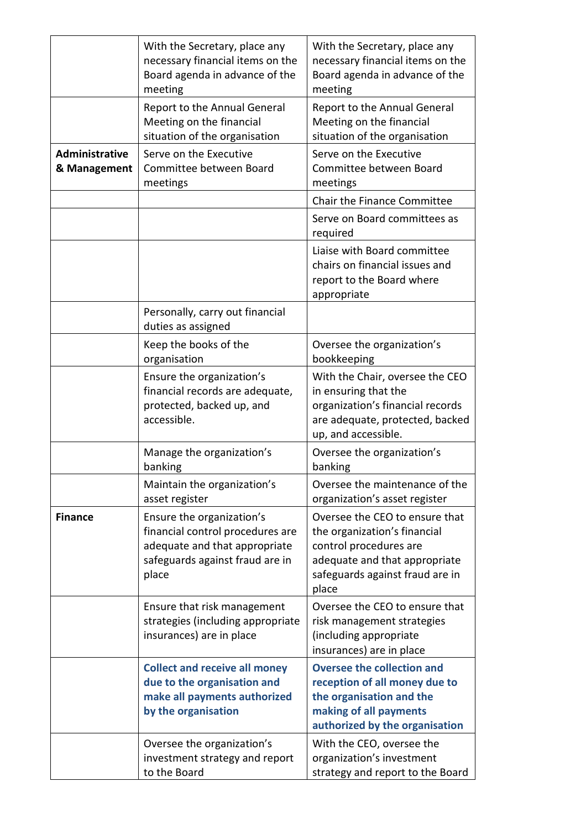|                                | With the Secretary, place any<br>necessary financial items on the<br>Board agenda in advance of the<br>meeting                             | With the Secretary, place any<br>necessary financial items on the<br>Board agenda in advance of the<br>meeting                                                        |
|--------------------------------|--------------------------------------------------------------------------------------------------------------------------------------------|-----------------------------------------------------------------------------------------------------------------------------------------------------------------------|
|                                | Report to the Annual General<br>Meeting on the financial<br>situation of the organisation                                                  | Report to the Annual General<br>Meeting on the financial<br>situation of the organisation                                                                             |
| Administrative<br>& Management | Serve on the Executive<br>Committee between Board<br>meetings                                                                              | Serve on the Executive<br>Committee between Board<br>meetings                                                                                                         |
|                                |                                                                                                                                            | Chair the Finance Committee                                                                                                                                           |
|                                |                                                                                                                                            | Serve on Board committees as<br>required                                                                                                                              |
|                                |                                                                                                                                            | Liaise with Board committee<br>chairs on financial issues and<br>report to the Board where<br>appropriate                                                             |
|                                | Personally, carry out financial<br>duties as assigned                                                                                      |                                                                                                                                                                       |
|                                | Keep the books of the<br>organisation                                                                                                      | Oversee the organization's<br>bookkeeping                                                                                                                             |
|                                | Ensure the organization's<br>financial records are adequate,<br>protected, backed up, and<br>accessible.                                   | With the Chair, oversee the CEO<br>in ensuring that the<br>organization's financial records<br>are adequate, protected, backed<br>up, and accessible.                 |
|                                | Manage the organization's<br>banking                                                                                                       | Oversee the organization's<br>banking                                                                                                                                 |
|                                | Maintain the organization's<br>asset register                                                                                              | Oversee the maintenance of the<br>organization's asset register                                                                                                       |
| <b>Finance</b>                 | Ensure the organization's<br>financial control procedures are<br>adequate and that appropriate<br>safeguards against fraud are in<br>place | Oversee the CEO to ensure that<br>the organization's financial<br>control procedures are<br>adequate and that appropriate<br>safeguards against fraud are in<br>place |
|                                | Ensure that risk management<br>strategies (including appropriate<br>insurances) are in place                                               | Oversee the CEO to ensure that<br>risk management strategies<br>(including appropriate<br>insurances) are in place                                                    |
|                                | <b>Collect and receive all money</b><br>due to the organisation and<br>make all payments authorized<br>by the organisation                 | <b>Oversee the collection and</b><br>reception of all money due to<br>the organisation and the<br>making of all payments<br>authorized by the organisation            |
|                                | Oversee the organization's<br>investment strategy and report<br>to the Board                                                               | With the CEO, oversee the<br>organization's investment<br>strategy and report to the Board                                                                            |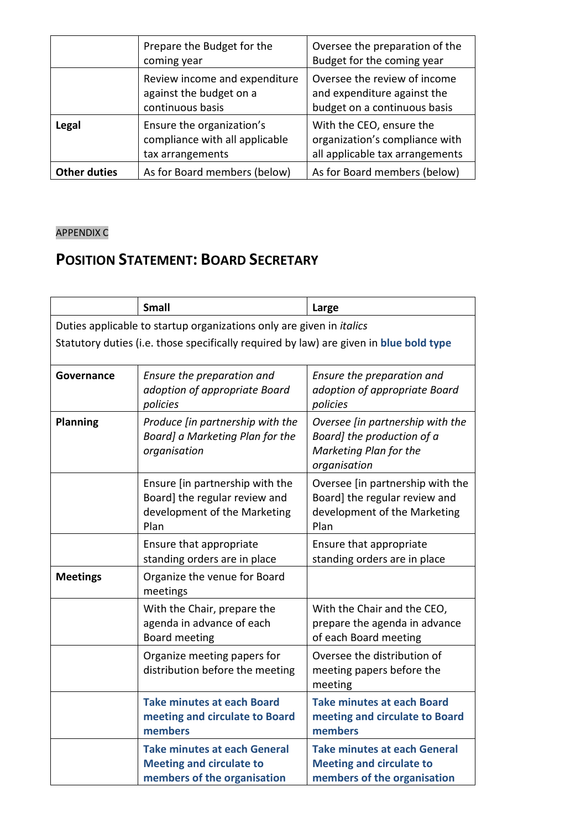|                     | Prepare the Budget for the<br>coming year                                       | Oversee the preparation of the<br>Budget for the coming year                                  |
|---------------------|---------------------------------------------------------------------------------|-----------------------------------------------------------------------------------------------|
|                     | Review income and expenditure<br>against the budget on a<br>continuous basis    | Oversee the review of income<br>and expenditure against the<br>budget on a continuous basis   |
| Legal               | Ensure the organization's<br>compliance with all applicable<br>tax arrangements | With the CEO, ensure the<br>organization's compliance with<br>all applicable tax arrangements |
| <b>Other duties</b> | As for Board members (below)                                                    | As for Board members (below)                                                                  |

# APPENDIX C

# **POSITION STATEMENT: BOARD SECRETARY**

|                 | <b>Small</b>                                                                                             | Large                                                                                                     |
|-----------------|----------------------------------------------------------------------------------------------------------|-----------------------------------------------------------------------------------------------------------|
|                 | Duties applicable to startup organizations only are given in <i>italics</i>                              |                                                                                                           |
|                 | Statutory duties (i.e. those specifically required by law) are given in blue bold type                   |                                                                                                           |
| Governance      | Ensure the preparation and<br>adoption of appropriate Board<br>policies                                  | Ensure the preparation and<br>adoption of appropriate Board<br>policies                                   |
| <b>Planning</b> | Produce [in partnership with the<br>Board] a Marketing Plan for the<br>organisation                      | Oversee [in partnership with the<br>Board] the production of a<br>Marketing Plan for the<br>organisation  |
|                 | Ensure [in partnership with the<br>Board] the regular review and<br>development of the Marketing<br>Plan | Oversee [in partnership with the<br>Board] the regular review and<br>development of the Marketing<br>Plan |
|                 | Ensure that appropriate<br>standing orders are in place                                                  | Ensure that appropriate<br>standing orders are in place                                                   |
| <b>Meetings</b> | Organize the venue for Board<br>meetings                                                                 |                                                                                                           |
|                 | With the Chair, prepare the<br>agenda in advance of each<br>Board meeting                                | With the Chair and the CEO,<br>prepare the agenda in advance<br>of each Board meeting                     |
|                 | Organize meeting papers for<br>distribution before the meeting                                           | Oversee the distribution of<br>meeting papers before the<br>meeting                                       |
|                 | <b>Take minutes at each Board</b><br>meeting and circulate to Board<br>members                           | <b>Take minutes at each Board</b><br>meeting and circulate to Board<br>members                            |
|                 | <b>Take minutes at each General</b><br><b>Meeting and circulate to</b><br>members of the organisation    | <b>Take minutes at each General</b><br><b>Meeting and circulate to</b><br>members of the organisation     |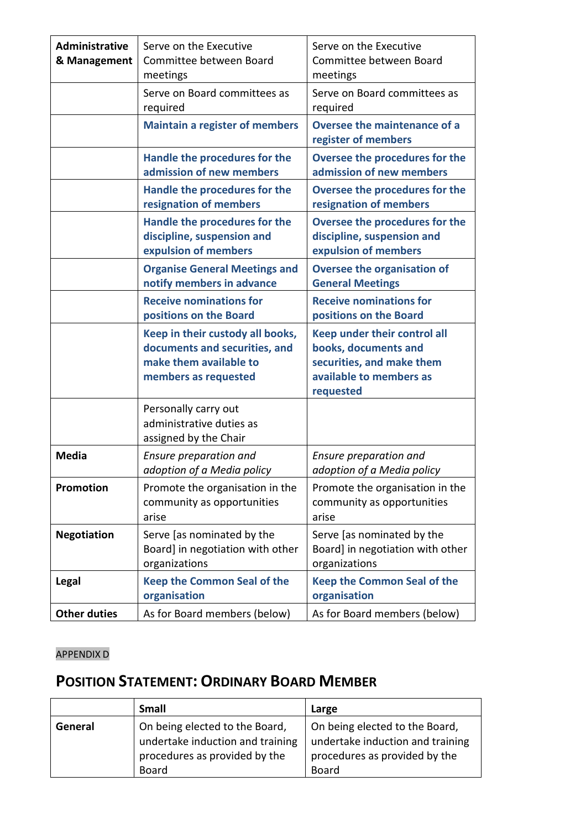| <b>Administrative</b><br>& Management | Serve on the Executive<br>Committee between Board<br>meetings                                                       | Serve on the Executive<br>Committee between Board<br>meetings                                                             |
|---------------------------------------|---------------------------------------------------------------------------------------------------------------------|---------------------------------------------------------------------------------------------------------------------------|
|                                       | Serve on Board committees as<br>required                                                                            | Serve on Board committees as<br>required                                                                                  |
|                                       | <b>Maintain a register of members</b>                                                                               | Oversee the maintenance of a<br>register of members                                                                       |
|                                       | Handle the procedures for the<br>admission of new members                                                           | Oversee the procedures for the<br>admission of new members                                                                |
|                                       | Handle the procedures for the<br>resignation of members                                                             | Oversee the procedures for the<br>resignation of members                                                                  |
|                                       | Handle the procedures for the<br>discipline, suspension and<br>expulsion of members                                 | Oversee the procedures for the<br>discipline, suspension and<br>expulsion of members                                      |
|                                       | <b>Organise General Meetings and</b><br>notify members in advance                                                   | <b>Oversee the organisation of</b><br><b>General Meetings</b>                                                             |
|                                       | <b>Receive nominations for</b><br>positions on the Board                                                            | <b>Receive nominations for</b><br>positions on the Board                                                                  |
|                                       | Keep in their custody all books,<br>documents and securities, and<br>make them available to<br>members as requested | Keep under their control all<br>books, documents and<br>securities, and make them<br>available to members as<br>requested |
|                                       | Personally carry out<br>administrative duties as<br>assigned by the Chair                                           |                                                                                                                           |
| <b>Media</b>                          | Ensure preparation and<br>adoption of a Media policy                                                                | Ensure preparation and<br>adoption of a Media policy                                                                      |
| <b>Promotion</b>                      | Promote the organisation in the<br>community as opportunities<br>arise                                              | Promote the organisation in the<br>community as opportunities<br>arise                                                    |
| <b>Negotiation</b>                    | Serve [as nominated by the<br>Board] in negotiation with other<br>organizations                                     | Serve [as nominated by the<br>Board] in negotiation with other<br>organizations                                           |
| Legal                                 | <b>Keep the Common Seal of the</b><br>organisation                                                                  | <b>Keep the Common Seal of the</b><br>organisation                                                                        |
| <b>Other duties</b>                   | As for Board members (below)                                                                                        | As for Board members (below)                                                                                              |

# APPENDIX D

# **POSITION STATEMENT: ORDINARY BOARD MEMBER**

|         | <b>Small</b>                                                                                                 | Large                                                                                                               |
|---------|--------------------------------------------------------------------------------------------------------------|---------------------------------------------------------------------------------------------------------------------|
| General | On being elected to the Board,<br>undertake induction and training<br>procedures as provided by the<br>Board | On being elected to the Board,<br>undertake induction and training<br>procedures as provided by the<br><b>Board</b> |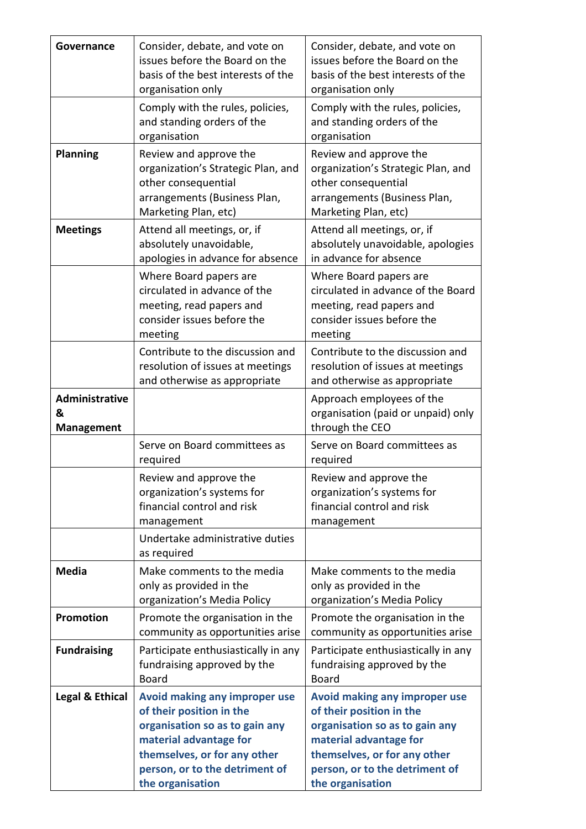| Governance                               | Consider, debate, and vote on<br>issues before the Board on the<br>basis of the best interests of the<br>organisation only                                                                                  | Consider, debate, and vote on<br>issues before the Board on the<br>basis of the best interests of the<br>organisation only                                                                                  |
|------------------------------------------|-------------------------------------------------------------------------------------------------------------------------------------------------------------------------------------------------------------|-------------------------------------------------------------------------------------------------------------------------------------------------------------------------------------------------------------|
|                                          | Comply with the rules, policies,<br>and standing orders of the<br>organisation                                                                                                                              | Comply with the rules, policies,<br>and standing orders of the<br>organisation                                                                                                                              |
| <b>Planning</b>                          | Review and approve the<br>organization's Strategic Plan, and<br>other consequential<br>arrangements (Business Plan,<br>Marketing Plan, etc)                                                                 | Review and approve the<br>organization's Strategic Plan, and<br>other consequential<br>arrangements (Business Plan,<br>Marketing Plan, etc)                                                                 |
| <b>Meetings</b>                          | Attend all meetings, or, if<br>absolutely unavoidable,<br>apologies in advance for absence                                                                                                                  | Attend all meetings, or, if<br>absolutely unavoidable, apologies<br>in advance for absence                                                                                                                  |
|                                          | Where Board papers are<br>circulated in advance of the<br>meeting, read papers and<br>consider issues before the<br>meeting                                                                                 | Where Board papers are<br>circulated in advance of the Board<br>meeting, read papers and<br>consider issues before the<br>meeting                                                                           |
|                                          | Contribute to the discussion and<br>resolution of issues at meetings<br>and otherwise as appropriate                                                                                                        | Contribute to the discussion and<br>resolution of issues at meetings<br>and otherwise as appropriate                                                                                                        |
| Administrative<br>&<br><b>Management</b> |                                                                                                                                                                                                             | Approach employees of the<br>organisation (paid or unpaid) only<br>through the CEO                                                                                                                          |
|                                          | Serve on Board committees as<br>required                                                                                                                                                                    | Serve on Board committees as<br>required                                                                                                                                                                    |
|                                          | Review and approve the<br>organization's systems for<br>financial control and risk<br>management                                                                                                            | Review and approve the<br>organization's systems for<br>financial control and risk<br>management                                                                                                            |
|                                          | Undertake administrative duties<br>as required                                                                                                                                                              |                                                                                                                                                                                                             |
| <b>Media</b>                             | Make comments to the media<br>only as provided in the<br>organization's Media Policy                                                                                                                        | Make comments to the media<br>only as provided in the<br>organization's Media Policy                                                                                                                        |
| <b>Promotion</b>                         | Promote the organisation in the<br>community as opportunities arise                                                                                                                                         | Promote the organisation in the<br>community as opportunities arise                                                                                                                                         |
| <b>Fundraising</b>                       | Participate enthusiastically in any<br>fundraising approved by the<br>Board                                                                                                                                 | Participate enthusiastically in any<br>fundraising approved by the<br><b>Board</b>                                                                                                                          |
| <b>Legal &amp; Ethical</b>               | Avoid making any improper use<br>of their position in the<br>organisation so as to gain any<br>material advantage for<br>themselves, or for any other<br>person, or to the detriment of<br>the organisation | Avoid making any improper use<br>of their position in the<br>organisation so as to gain any<br>material advantage for<br>themselves, or for any other<br>person, or to the detriment of<br>the organisation |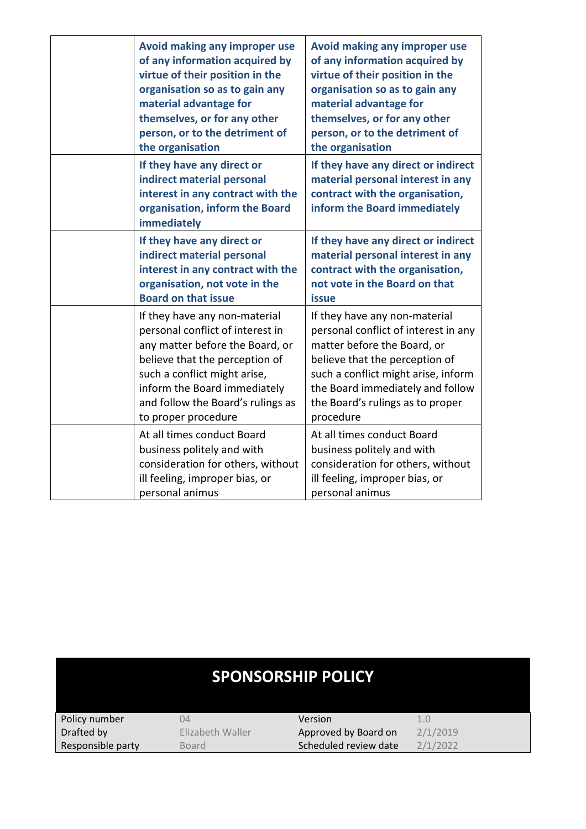| Avoid making any improper use<br>of any information acquired by<br>virtue of their position in the<br>organisation so as to gain any<br>material advantage for<br>themselves, or for any other<br>person, or to the detriment of<br>the organisation               | Avoid making any improper use<br>of any information acquired by<br>virtue of their position in the<br>organisation so as to gain any<br>material advantage for<br>themselves, or for any other<br>person, or to the detriment of<br>the organisation               |
|--------------------------------------------------------------------------------------------------------------------------------------------------------------------------------------------------------------------------------------------------------------------|--------------------------------------------------------------------------------------------------------------------------------------------------------------------------------------------------------------------------------------------------------------------|
| If they have any direct or<br>indirect material personal<br>interest in any contract with the<br>organisation, inform the Board<br>immediately                                                                                                                     | If they have any direct or indirect<br>material personal interest in any<br>contract with the organisation,<br>inform the Board immediately                                                                                                                        |
| If they have any direct or<br>indirect material personal<br>interest in any contract with the<br>organisation, not vote in the<br><b>Board on that issue</b>                                                                                                       | If they have any direct or indirect<br>material personal interest in any<br>contract with the organisation,<br>not vote in the Board on that<br><b>issue</b>                                                                                                       |
| If they have any non-material<br>personal conflict of interest in<br>any matter before the Board, or<br>believe that the perception of<br>such a conflict might arise,<br>inform the Board immediately<br>and follow the Board's rulings as<br>to proper procedure | If they have any non-material<br>personal conflict of interest in any<br>matter before the Board, or<br>believe that the perception of<br>such a conflict might arise, inform<br>the Board immediately and follow<br>the Board's rulings as to proper<br>procedure |
| At all times conduct Board<br>business politely and with<br>consideration for others, without<br>ill feeling, improper bias, or<br>personal animus                                                                                                                 | At all times conduct Board<br>business politely and with<br>consideration for others, without<br>ill feeling, improper bias, or<br>personal animus                                                                                                                 |

| <b>SPONSORSHIP POLICY</b> |                  |                       |          |  |
|---------------------------|------------------|-----------------------|----------|--|
| Policy number             | 04               | Version               | 1.0      |  |
| Drafted by                | Elizabeth Waller | Approved by Board on  | 2/1/2019 |  |
| Responsible party         | Board            | Scheduled review date | 2/1/2022 |  |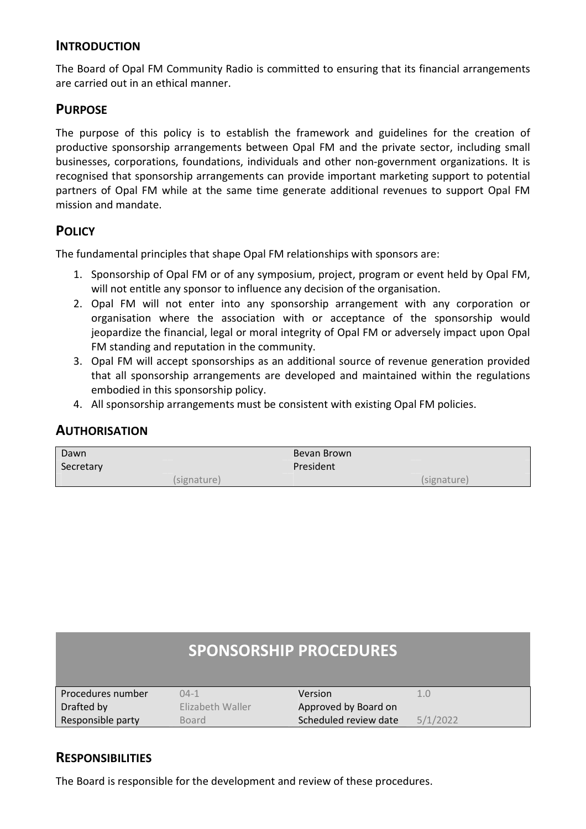# **INTRODUCTION**

The Board of Opal FM Community Radio is committed to ensuring that its financial arrangements are carried out in an ethical manner.

# **PURPOSE**

The purpose of this policy is to establish the framework and guidelines for the creation of productive sponsorship arrangements between Opal FM and the private sector, including small businesses, corporations, foundations, individuals and other non-government organizations. It is recognised that sponsorship arrangements can provide important marketing support to potential partners of Opal FM while at the same time generate additional revenues to support Opal FM mission and mandate.

# **POLICY**

The fundamental principles that shape Opal FM relationships with sponsors are:

- 1. Sponsorship of Opal FM or of any symposium, project, program or event held by Opal FM, will not entitle any sponsor to influence any decision of the organisation.
- 2. Opal FM will not enter into any sponsorship arrangement with any corporation or organisation where the association with or acceptance of the sponsorship would jeopardize the financial, legal or moral integrity of Opal FM or adversely impact upon Opal FM standing and reputation in the community.
- 3. Opal FM will accept sponsorships as an additional source of revenue generation provided that all sponsorship arrangements are developed and maintained within the regulations embodied in this sponsorship policy.
- 4. All sponsorship arrangements must be consistent with existing Opal FM policies.

| Dawn      |             | Bevan Brown |             |
|-----------|-------------|-------------|-------------|
| Secretary |             | President   |             |
|           | (signature) |             | (signature) |

# **AUTHORISATION**

# **SPONSORSHIP PROCEDURES**

| Procedures number | $04-1$           | Version               |          |
|-------------------|------------------|-----------------------|----------|
| Drafted by        | Flizabeth Waller | Approved by Board on  |          |
| Responsible party | Board            | Scheduled review date | 5/1/2022 |
|                   |                  |                       |          |

# **RESPONSIBILITIES**

The Board is responsible for the development and review of these procedures.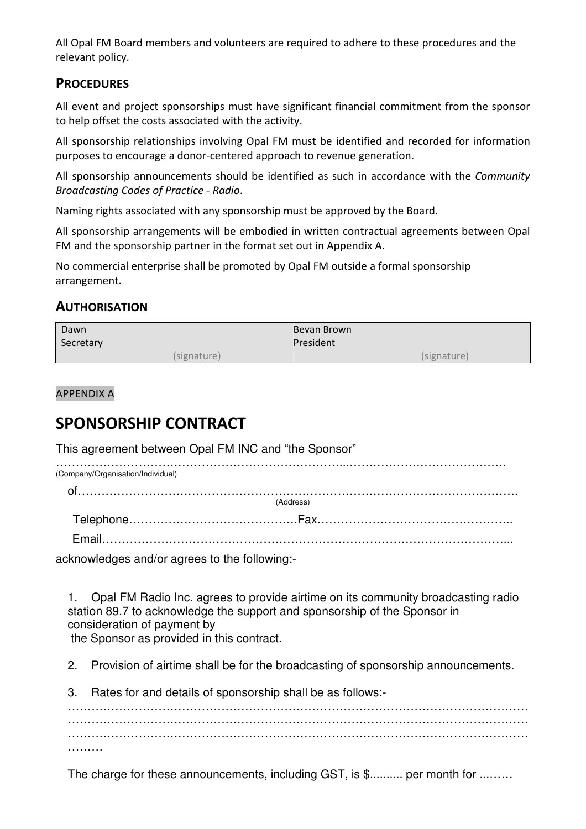All Opal FM Board members and volunteers are required to adhere to these procedures and the relevant policy.

# **PROCEDURES**

All event and project sponsorships must have significant financial commitment from the sponsor to help offset the costs associated with the activity.

All sponsorship relationships involving Opal FM must be identified and recorded for information purposes to encourage a donor-centered approach to revenue generation.

All sponsorship announcements should be identified as such in accordance with the *Community Broadcasting Codes of Practice - Radio*.

Naming rights associated with any sponsorship must be approved by the Board.

All sponsorship arrangements will be embodied in written contractual agreements between Opal FM and the sponsorship partner in the format set out in Appendix A.

No commercial enterprise shall be promoted by Opal FM outside a formal sponsorship arrangement.

# **AUTHORISATION**

| Dawn      |             | Bevan Brown |             |
|-----------|-------------|-------------|-------------|
| Secretary |             | President   |             |
|           | (signature) |             | (signature) |

APPENDIX A

# **SPONSORSHIP CONTRACT**

This agreement between Opal FM INC and "the Sponsor"

| (Company/Organisation/Individual)                                                                                                                                                                                               |           |  |
|---------------------------------------------------------------------------------------------------------------------------------------------------------------------------------------------------------------------------------|-----------|--|
|                                                                                                                                                                                                                                 |           |  |
|                                                                                                                                                                                                                                 | (Address) |  |
|                                                                                                                                                                                                                                 |           |  |
|                                                                                                                                                                                                                                 |           |  |
| $\sim$ . The contract of the contract of the contract of the contract of the contract of the contract of the contract of the contract of the contract of the contract of the contract of the contract of the contract of the co |           |  |

acknowledges and/or agrees to the following:-

1. Opal FM Radio Inc. agrees to provide airtime on its community broadcasting radio station 89.7 to acknowledge the support and sponsorship of the Sponsor in consideration of payment by the Sponsor as provided in this contract.

2. Provision of airtime shall be for the broadcasting of sponsorship announcements.

3. Rates for and details of sponsorship shall be as follows:-

……………………………………………………………………………………………………… ……………………………………………………………………………………………………… ……………………………………………………………………………………………………… ………

The charge for these announcements, including GST, is \$.......... per month for .........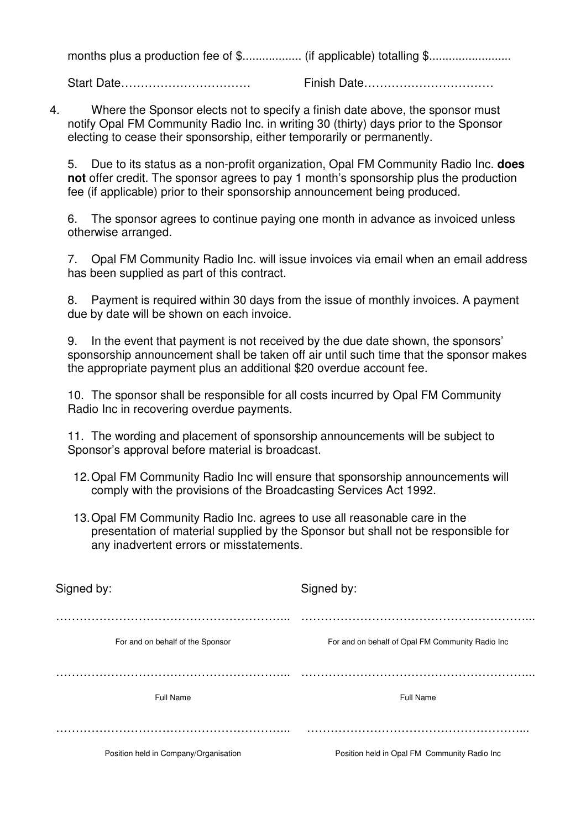months plus a production fee of \$.................. (if applicable) totalling \$.........................

Start Date…………………………… Finish Date……………………………

4. Where the Sponsor elects not to specify a finish date above, the sponsor must notify Opal FM Community Radio Inc. in writing 30 (thirty) days prior to the Sponsor electing to cease their sponsorship, either temporarily or permanently.

5. Due to its status as a non-profit organization, Opal FM Community Radio Inc. **does not** offer credit. The sponsor agrees to pay 1 month's sponsorship plus the production fee (if applicable) prior to their sponsorship announcement being produced.

6. The sponsor agrees to continue paying one month in advance as invoiced unless otherwise arranged.

7. Opal FM Community Radio Inc. will issue invoices via email when an email address has been supplied as part of this contract.

8. Payment is required within 30 days from the issue of monthly invoices. A payment due by date will be shown on each invoice.

9. In the event that payment is not received by the due date shown, the sponsors' sponsorship announcement shall be taken off air until such time that the sponsor makes the appropriate payment plus an additional \$20 overdue account fee.

10. The sponsor shall be responsible for all costs incurred by Opal FM Community Radio Inc in recovering overdue payments.

11. The wording and placement of sponsorship announcements will be subject to Sponsor's approval before material is broadcast.

- 12. Opal FM Community Radio Inc will ensure that sponsorship announcements will comply with the provisions of the Broadcasting Services Act 1992.
- 13. Opal FM Community Radio Inc. agrees to use all reasonable care in the presentation of material supplied by the Sponsor but shall not be responsible for any inadvertent errors or misstatements.

| Signed by:                            | Signed by:                                       |
|---------------------------------------|--------------------------------------------------|
| For and on behalf of the Sponsor      | For and on behalf of Opal FM Community Radio Inc |
| Full Name                             | Full Name                                        |
| Position held in Company/Organisation | Position held in Opal FM Community Radio Inc     |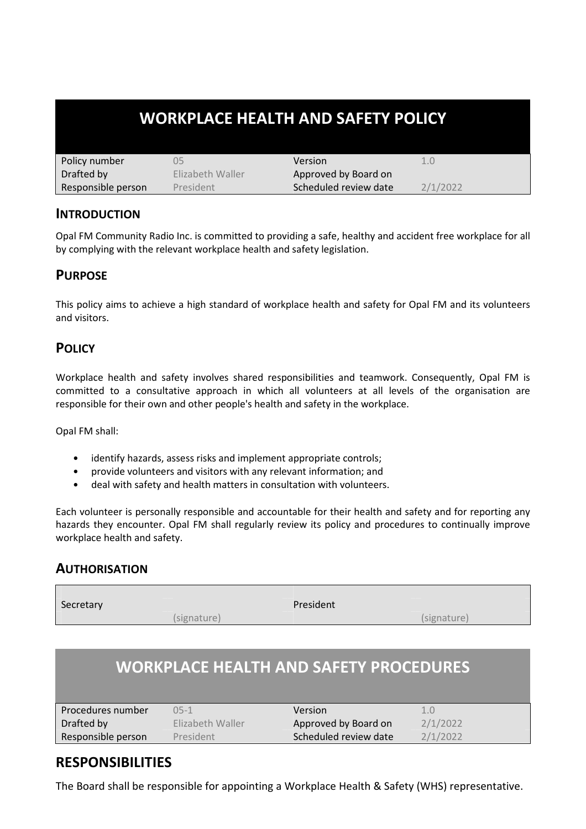# **WORKPLACE HEALTH AND SAFETY POLICY**

| Policy number      | 35               | Version               | 1.0      |
|--------------------|------------------|-----------------------|----------|
| Drafted by         | Flizabeth Waller | Approved by Board on  |          |
| Responsible person | President        | Scheduled review date | 2/1/2022 |

# **INTRODUCTION**

Opal FM Community Radio Inc. is committed to providing a safe, healthy and accident free workplace for all by complying with the relevant workplace health and safety legislation.

### **PURPOSE**

This policy aims to achieve a high standard of workplace health and safety for Opal FM and its volunteers and visitors.

# **POLICY**

Workplace health and safety involves shared responsibilities and teamwork. Consequently, Opal FM is committed to a consultative approach in which all volunteers at all levels of the organisation are responsible for their own and other people's health and safety in the workplace.

Opal FM shall:

- identify hazards, assess risks and implement appropriate controls;
- provide volunteers and visitors with any relevant information; and
- deal with safety and health matters in consultation with volunteers.

Each volunteer is personally responsible and accountable for their health and safety and for reporting any hazards they encounter. Opal FM shall regularly review its policy and procedures to continually improve workplace health and safety.

# **AUTHORISATION**

Secretary **President** (signature) (signature)

# **WORKPLACE HEALTH AND SAFETY PROCEDURES**

| l Procedures number | $05-1$           | Version               |          |
|---------------------|------------------|-----------------------|----------|
| Drafted by          | Elizabeth Waller | Approved by Board on  | 2/1/2022 |
| Responsible person  | President        | Scheduled review date | 2/1/2022 |

# **RESPONSIBILITIES**

The Board shall be responsible for appointing a Workplace Health & Safety (WHS) representative.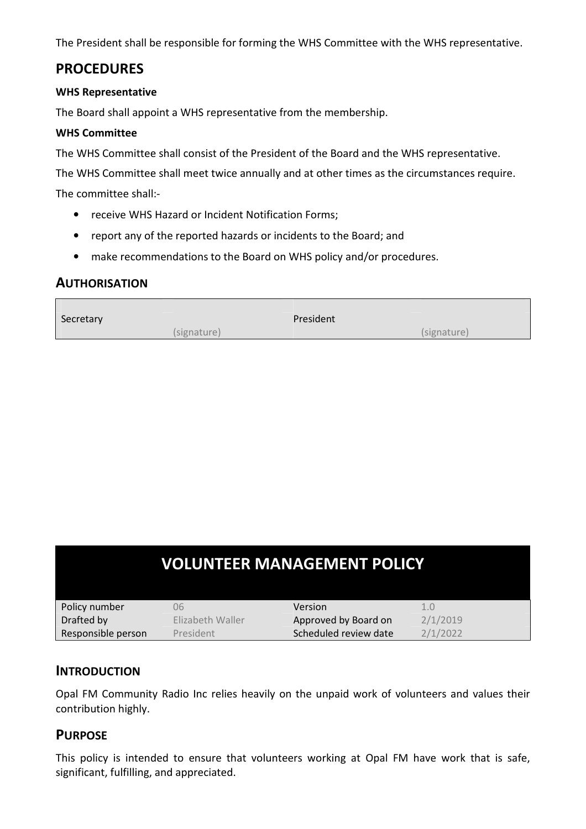The President shall be responsible for forming the WHS Committee with the WHS representative.

# **PROCEDURES**

#### **WHS Representative**

The Board shall appoint a WHS representative from the membership.

#### **WHS Committee**

The WHS Committee shall consist of the President of the Board and the WHS representative.

The WHS Committee shall meet twice annually and at other times as the circumstances require.

The committee shall:-

- receive WHS Hazard or Incident Notification Forms;
- report any of the reported hazards or incidents to the Board; and
- make recommendations to the Board on WHS policy and/or procedures.

# **AUTHORISATION**

| Secretary | President   |             |
|-----------|-------------|-------------|
|           | (signature) | (signature) |

| <b>VOLUNTEER MANAGEMENT POLICY</b> |                  |                       |          |
|------------------------------------|------------------|-----------------------|----------|
| Policy number                      | 06               | Version               | 1.0      |
| Drafted by                         | Elizabeth Waller | Approved by Board on  | 2/1/2019 |
| Responsible person                 | President        | Scheduled review date | 2/1/2022 |

#### **INTRODUCTION**

Opal FM Community Radio Inc relies heavily on the unpaid work of volunteers and values their contribution highly.

# **PURPOSE**

This policy is intended to ensure that volunteers working at Opal FM have work that is safe, significant, fulfilling, and appreciated.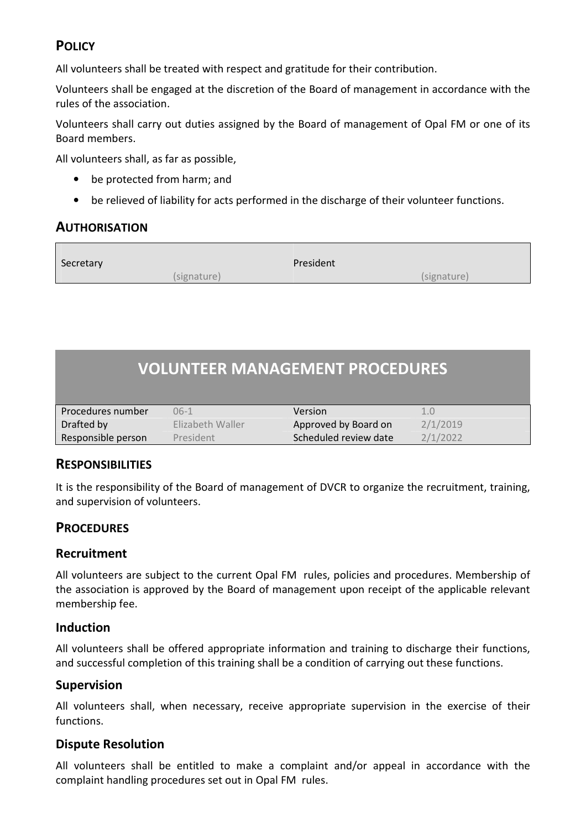# **POLICY**

All volunteers shall be treated with respect and gratitude for their contribution.

Volunteers shall be engaged at the discretion of the Board of management in accordance with the rules of the association.

Volunteers shall carry out duties assigned by the Board of management of Opal FM or one of its Board members.

All volunteers shall, as far as possible,

- be protected from harm; and
- be relieved of liability for acts performed in the discharge of their volunteer functions.

# **AUTHORISATION**

| Secretary | President   |             |
|-----------|-------------|-------------|
|           | (signature) | (signature) |

# **VOLUNTEER MANAGEMENT PROCEDURES**

| l Procedures number | 06-1             | Version               |          |
|---------------------|------------------|-----------------------|----------|
| Drafted by          | Elizabeth Waller | Approved by Board on  | 2/1/2019 |
| Responsible person  | President        | Scheduled review date | 2/1/2022 |

# **RESPONSIBILITIES**

It is the responsibility of the Board of management of DVCR to organize the recruitment, training, and supervision of volunteers.

# **PROCEDURES**

# **Recruitment**

All volunteers are subject to the current Opal FM rules, policies and procedures. Membership of the association is approved by the Board of management upon receipt of the applicable relevant membership fee.

# **Induction**

All volunteers shall be offered appropriate information and training to discharge their functions, and successful completion of this training shall be a condition of carrying out these functions.

# **Supervision**

All volunteers shall, when necessary, receive appropriate supervision in the exercise of their functions.

# **Dispute Resolution**

All volunteers shall be entitled to make a complaint and/or appeal in accordance with the complaint handling procedures set out in Opal FM rules.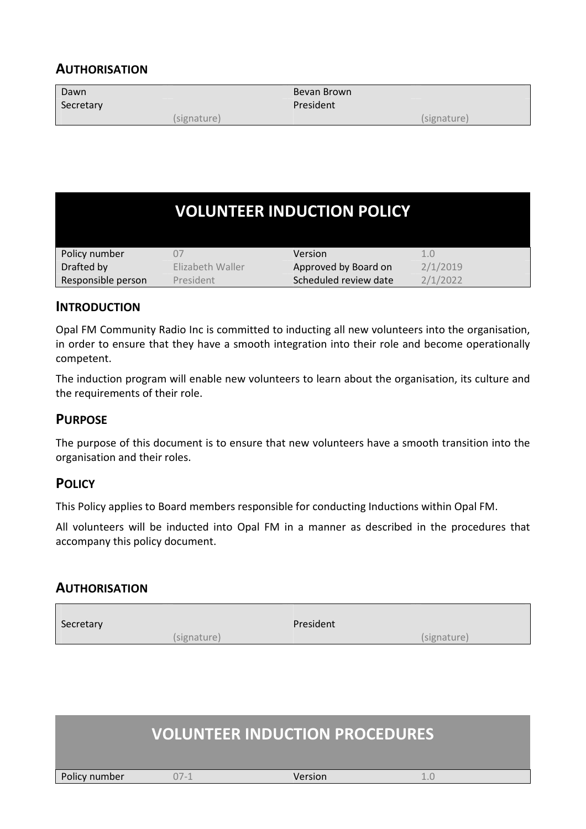# **AUTHORISATION**

| Dawn<br>Secretary |             | Bevan Brown<br>President |             |
|-------------------|-------------|--------------------------|-------------|
|                   | (signature) |                          | (signature) |

|                    |                  | <b>VOLUNTEER INDUCTION POLICY</b> |          |
|--------------------|------------------|-----------------------------------|----------|
| Policy number      |                  | Version                           | 1.0      |
| Drafted by         | Elizabeth Waller | Approved by Board on              | 2/1/2019 |
| Responsible person | President        | Scheduled review date             | 2/1/2022 |

# **INTRODUCTION**

Opal FM Community Radio Inc is committed to inducting all new volunteers into the organisation, in order to ensure that they have a smooth integration into their role and become operationally competent.

The induction program will enable new volunteers to learn about the organisation, its culture and the requirements of their role.

# **PURPOSE**

The purpose of this document is to ensure that new volunteers have a smooth transition into the organisation and their roles.

# **POLICY**

This Policy applies to Board members responsible for conducting Inductions within Opal FM.

All volunteers will be inducted into Opal FM in a manner as described in the procedures that accompany this policy document.

#### **AUTHORISATION**

| Secretary |             | President |             |
|-----------|-------------|-----------|-------------|
|           | (signature) |           | (signature) |

|               |        | <b>VOLUNTEER INDUCTION PROCEDURES</b> |  |
|---------------|--------|---------------------------------------|--|
| Policy number | $07-1$ | Version                               |  |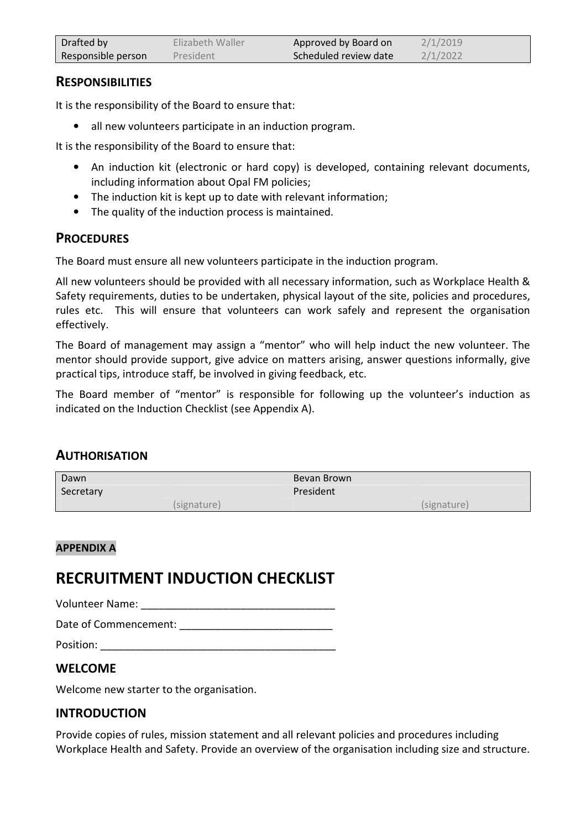| Drafted by         | Elizabeth Waller | Approved by Board on  | 2/1/2019 |
|--------------------|------------------|-----------------------|----------|
| Responsible person | President        | Scheduled review date | 2/1/2022 |

# **RESPONSIBILITIES**

It is the responsibility of the Board to ensure that:

• all new volunteers participate in an induction program.

It is the responsibility of the Board to ensure that:

- An induction kit (electronic or hard copy) is developed, containing relevant documents, including information about Opal FM policies;
- The induction kit is kept up to date with relevant information;
- The quality of the induction process is maintained.

# **PROCEDURES**

The Board must ensure all new volunteers participate in the induction program.

All new volunteers should be provided with all necessary information, such as Workplace Health & Safety requirements, duties to be undertaken, physical layout of the site, policies and procedures, rules etc. This will ensure that volunteers can work safely and represent the organisation effectively.

The Board of management may assign a "mentor" who will help induct the new volunteer. The mentor should provide support, give advice on matters arising, answer questions informally, give practical tips, introduce staff, be involved in giving feedback, etc.

The Board member of "mentor" is responsible for following up the volunteer's induction as indicated on the Induction Checklist (see Appendix A).

# **AUTHORISATION**

| Dawn<br>Secretary |             | Bevan Brown<br>President |             |
|-------------------|-------------|--------------------------|-------------|
|                   | (signature) |                          | (signature) |

#### **APPENDIX A**

# **RECRUITMENT INDUCTION CHECKLIST**

Volunteer Name: **With a set of the UV** of the UV of the UV of the UV of the UV of the UV of the UV of the UV of the UV of the UV of the UV of the UV of the UV of the UV of the UV of the UV of the UV of the UV of the UV of

Date of Commencement: **Example 20** 

Position: \_\_\_\_\_\_\_\_\_\_\_\_\_\_\_\_\_\_\_\_\_\_\_\_\_\_\_\_\_\_\_\_\_\_\_\_\_\_\_\_

# **WELCOME**

Welcome new starter to the organisation.

# **INTRODUCTION**

Provide copies of rules, mission statement and all relevant policies and procedures including Workplace Health and Safety. Provide an overview of the organisation including size and structure.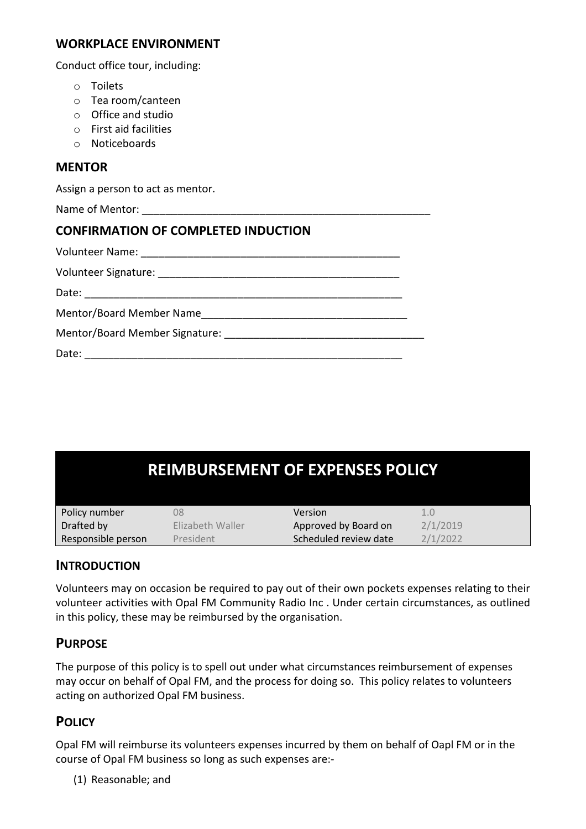#### **WORKPLACE ENVIRONMENT**

Conduct office tour, including:

- o Toilets
- o Tea room/canteen
- o Office and studio
- o First aid facilities
- o Noticeboards

#### **MENTOR**

Assign a person to act as mentor.

Name of Mentor:

# **CONFIRMATION OF COMPLETED INDUCTION**

| Date: |  |
|-------|--|

| <b>REIMBURSEMENT OF EXPENSES POLICY</b> |                  |                       |          |
|-----------------------------------------|------------------|-----------------------|----------|
| Policy number                           | 08               | Version               | 1.0      |
| Drafted by                              | Elizabeth Waller | Approved by Board on  | 2/1/2019 |
| Responsible person                      | President        | Scheduled review date | 2/1/2022 |

# **INTRODUCTION**

Volunteers may on occasion be required to pay out of their own pockets expenses relating to their volunteer activities with Opal FM Community Radio Inc . Under certain circumstances, as outlined in this policy, these may be reimbursed by the organisation.

# **PURPOSE**

The purpose of this policy is to spell out under what circumstances reimbursement of expenses may occur on behalf of Opal FM, and the process for doing so. This policy relates to volunteers acting on authorized Opal FM business.

# **POLICY**

Opal FM will reimburse its volunteers expenses incurred by them on behalf of Oapl FM or in the course of Opal FM business so long as such expenses are:-

(1) Reasonable; and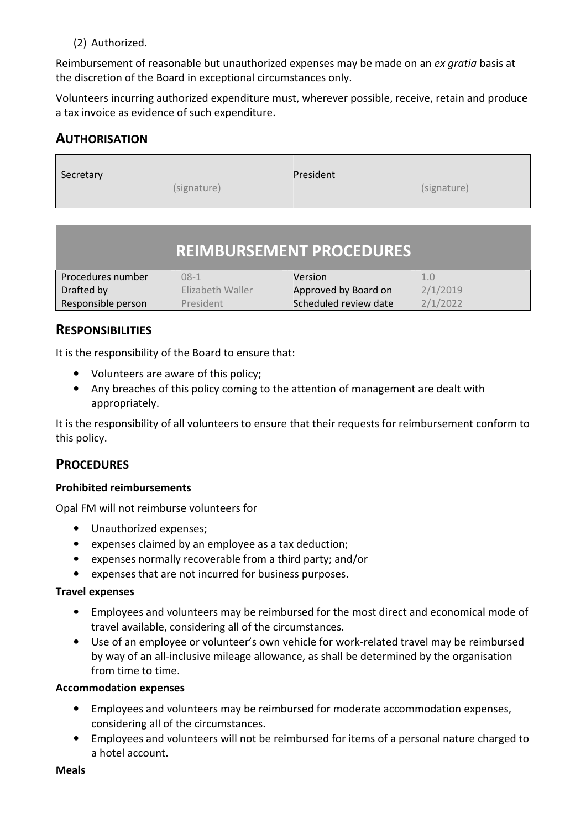#### (2) Authorized.

Reimbursement of reasonable but unauthorized expenses may be made on an *ex gratia* basis at the discretion of the Board in exceptional circumstances only.

Volunteers incurring authorized expenditure must, wherever possible, receive, retain and produce a tax invoice as evidence of such expenditure.

# **AUTHORISATION**

| Secretary | President   |             |
|-----------|-------------|-------------|
|           | (signature) | (signature) |

# **REIMBURSEMENT PROCEDURES**

| Procedures number  | $08-1$           | Version               | 1.0      |
|--------------------|------------------|-----------------------|----------|
| Drafted by         | Elizabeth Waller | Approved by Board on  | 2/1/2019 |
| Responsible person | President        | Scheduled review date | 2/1/2022 |

# **RESPONSIBILITIES**

It is the responsibility of the Board to ensure that:

- Volunteers are aware of this policy;
- Any breaches of this policy coming to the attention of management are dealt with appropriately.

It is the responsibility of all volunteers to ensure that their requests for reimbursement conform to this policy.

# **PROCEDURES**

#### **Prohibited reimbursements**

Opal FM will not reimburse volunteers for

- Unauthorized expenses;
- expenses claimed by an employee as a tax deduction;
- expenses normally recoverable from a third party; and/or
- expenses that are not incurred for business purposes.

#### **Travel expenses**

- Employees and volunteers may be reimbursed for the most direct and economical mode of travel available, considering all of the circumstances.
- Use of an employee or volunteer's own vehicle for work-related travel may be reimbursed by way of an all-inclusive mileage allowance, as shall be determined by the organisation from time to time.

#### **Accommodation expenses**

- Employees and volunteers may be reimbursed for moderate accommodation expenses, considering all of the circumstances.
- Employees and volunteers will not be reimbursed for items of a personal nature charged to a hotel account.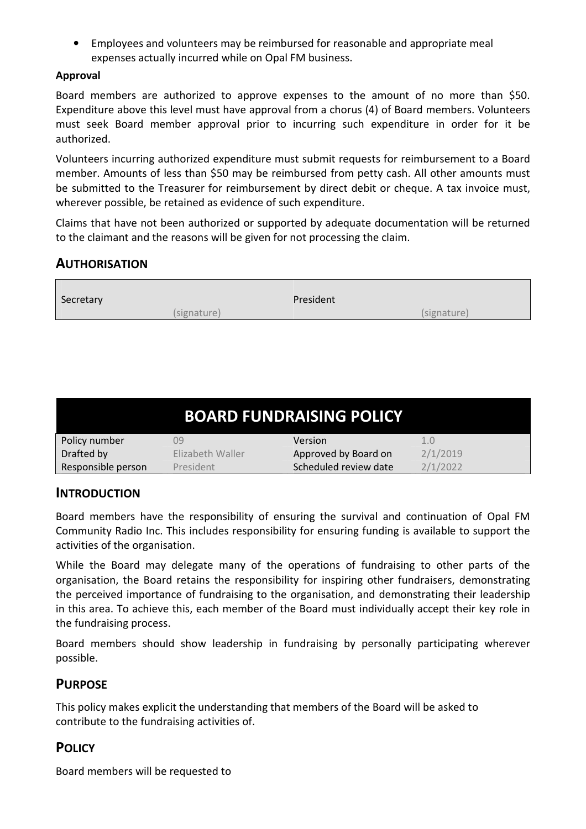• Employees and volunteers may be reimbursed for reasonable and appropriate meal expenses actually incurred while on Opal FM business.

#### **Approval**

Board members are authorized to approve expenses to the amount of no more than \$50. Expenditure above this level must have approval from a chorus (4) of Board members. Volunteers must seek Board member approval prior to incurring such expenditure in order for it be authorized.

Volunteers incurring authorized expenditure must submit requests for reimbursement to a Board member. Amounts of less than \$50 may be reimbursed from petty cash. All other amounts must be submitted to the Treasurer for reimbursement by direct debit or cheque. A tax invoice must, wherever possible, be retained as evidence of such expenditure.

Claims that have not been authorized or supported by adequate documentation will be returned to the claimant and the reasons will be given for not processing the claim.

# **AUTHORISATION**

| Secretary |             | President |             |
|-----------|-------------|-----------|-------------|
|           | (signature) |           | (signature) |

| <b>BOARD FUNDRAISING POLICY</b> |                  |                       |          |
|---------------------------------|------------------|-----------------------|----------|
| Policy number                   | Ŋ9               | Version               | 1.0      |
| Drafted by                      | Flizabeth Waller | Approved by Board on  | 2/1/2019 |
| Responsible person              | President        | Scheduled review date | 2/1/2022 |

# **INTRODUCTION**

Board members have the responsibility of ensuring the survival and continuation of Opal FM Community Radio Inc. This includes responsibility for ensuring funding is available to support the activities of the organisation.

While the Board may delegate many of the operations of fundraising to other parts of the organisation, the Board retains the responsibility for inspiring other fundraisers, demonstrating the perceived importance of fundraising to the organisation, and demonstrating their leadership in this area. To achieve this, each member of the Board must individually accept their key role in the fundraising process.

Board members should show leadership in fundraising by personally participating wherever possible.

# **PURPOSE**

This policy makes explicit the understanding that members of the Board will be asked to contribute to the fundraising activities of.

# **POLICY**

Board members will be requested to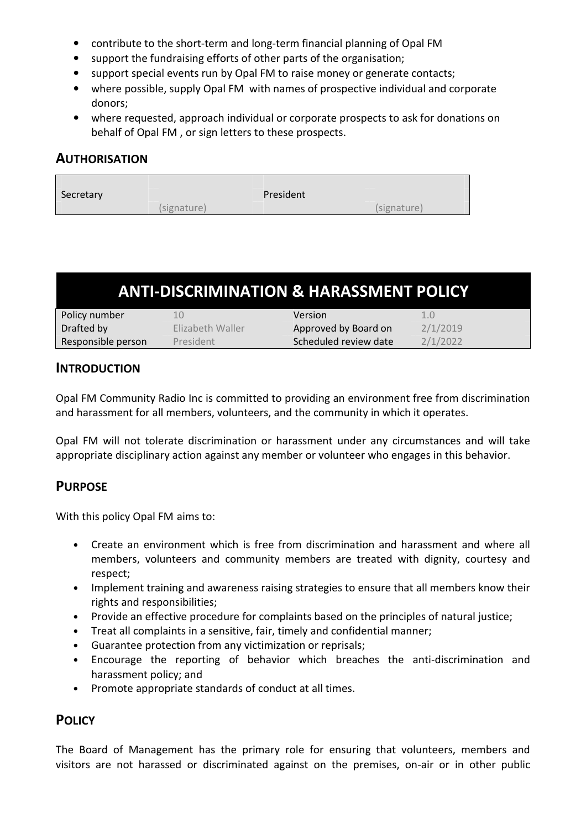- contribute to the short-term and long-term financial planning of Opal FM
- support the fundraising efforts of other parts of the organisation;
- support special events run by Opal FM to raise money or generate contacts;
- where possible, supply Opal FM with names of prospective individual and corporate donors;
- where requested, approach individual or corporate prospects to ask for donations on behalf of Opal FM , or sign letters to these prospects.

# **AUTHORISATION**

| Secretary |             | President |             |
|-----------|-------------|-----------|-------------|
|           | (signature) |           | (signature) |

| <b>ANTI-DISCRIMINATION &amp; HARASSMENT POLICY</b> |                  |                       |          |
|----------------------------------------------------|------------------|-----------------------|----------|
| Policy number                                      | 10               | Version               | 1.0      |
| Drafted by                                         | Elizabeth Waller | Approved by Board on  | 2/1/2019 |
| Responsible person                                 | President        | Scheduled review date | 2/1/2022 |

# **INTRODUCTION**

Opal FM Community Radio Inc is committed to providing an environment free from discrimination and harassment for all members, volunteers, and the community in which it operates.

Opal FM will not tolerate discrimination or harassment under any circumstances and will take appropriate disciplinary action against any member or volunteer who engages in this behavior.

# **PURPOSE**

With this policy Opal FM aims to:

- Create an environment which is free from discrimination and harassment and where all members, volunteers and community members are treated with dignity, courtesy and respect;
- Implement training and awareness raising strategies to ensure that all members know their rights and responsibilities;
- Provide an effective procedure for complaints based on the principles of natural justice;
- Treat all complaints in a sensitive, fair, timely and confidential manner;
- Guarantee protection from any victimization or reprisals;
- Encourage the reporting of behavior which breaches the anti-discrimination and harassment policy; and
- Promote appropriate standards of conduct at all times.

# **POLICY**

The Board of Management has the primary role for ensuring that volunteers, members and visitors are not harassed or discriminated against on the premises, on-air or in other public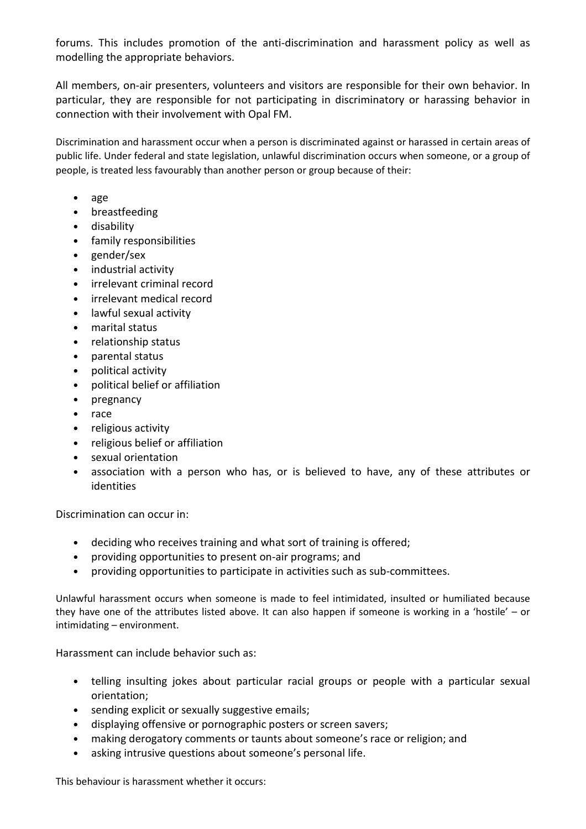forums. This includes promotion of the anti-discrimination and harassment policy as well as modelling the appropriate behaviors.

All members, on-air presenters, volunteers and visitors are responsible for their own behavior. In particular, they are responsible for not participating in discriminatory or harassing behavior in connection with their involvement with Opal FM.

Discrimination and harassment occur when a person is discriminated against or harassed in certain areas of public life. Under federal and state legislation, unlawful discrimination occurs when someone, or a group of people, is treated less favourably than another person or group because of their:

- age
- breastfeeding
- disability
- family responsibilities
- gender/sex
- industrial activity
- irrelevant criminal record
- irrelevant medical record
- lawful sexual activity
- marital status
- relationship status
- parental status
- political activity
- political belief or affiliation
- pregnancy
- race
- religious activity
- religious belief or affiliation
- sexual orientation
- association with a person who has, or is believed to have, any of these attributes or identities

Discrimination can occur in:

- deciding who receives training and what sort of training is offered;
- providing opportunities to present on-air programs; and
- providing opportunities to participate in activities such as sub-committees.

Unlawful harassment occurs when someone is made to feel intimidated, insulted or humiliated because they have one of the attributes listed above. It can also happen if someone is working in a 'hostile' – or intimidating – environment.

Harassment can include behavior such as:

- telling insulting jokes about particular racial groups or people with a particular sexual orientation;
- sending explicit or sexually suggestive emails;
- displaying offensive or pornographic posters or screen savers;
- making derogatory comments or taunts about someone's race or religion; and
- asking intrusive questions about someone's personal life.

This behaviour is harassment whether it occurs: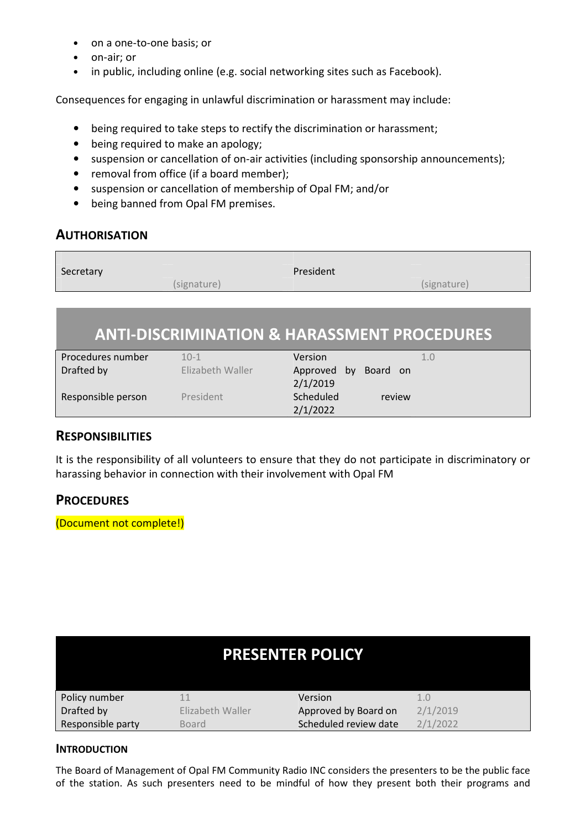- on a one-to-one basis; or
- on-air; or
- in public, including online (e.g. social networking sites such as Facebook).

Consequences for engaging in unlawful discrimination or harassment may include:

- being required to take steps to rectify the discrimination or harassment;
- being required to make an apology;
- suspension or cancellation of on-air activities (including sponsorship announcements);
- removal from office (if a board member);
- suspension or cancellation of membership of Opal FM; and/or
- being banned from Opal FM premises.

# **AUTHORISATION**

| Secretary |             | President |             |
|-----------|-------------|-----------|-------------|
|           | (signature) |           | (signature) |
|           |             |           |             |

# **ANTI-DISCRIMINATION & HARASSMENT PROCEDURES**

| Procedures number  | $10 - 1$         | Version                 | 1.0 |
|--------------------|------------------|-------------------------|-----|
| Drafted by         | Elizabeth Waller | Approved by<br>Board on |     |
|                    |                  | 2/1/2019                |     |
| Responsible person | President        | Scheduled<br>review     |     |
|                    |                  | 2/1/2022                |     |

# **RESPONSIBILITIES**

It is the responsibility of all volunteers to ensure that they do not participate in discriminatory or harassing behavior in connection with their involvement with Opal FM

# **PROCEDURES**

(Document not complete!)

| <b>PRESENTER POLICY</b> |                  |                       |          |
|-------------------------|------------------|-----------------------|----------|
| Policy number           |                  | Version               | 1.0      |
| Drafted by              | Elizabeth Waller | Approved by Board on  | 2/1/2019 |
| Responsible party       | <b>Board</b>     | Scheduled review date | 2/1/2022 |

#### **INTRODUCTION**

The Board of Management of Opal FM Community Radio INC considers the presenters to be the public face of the station. As such presenters need to be mindful of how they present both their programs and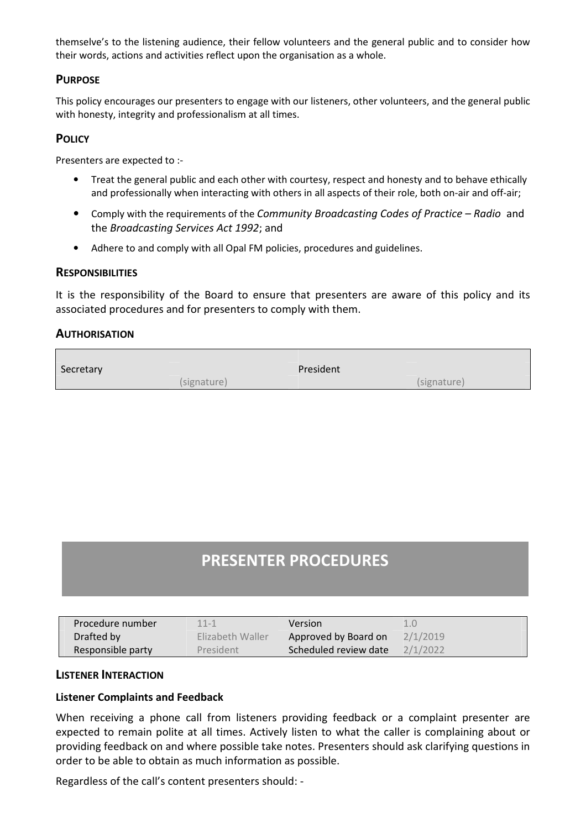themselve's to the listening audience, their fellow volunteers and the general public and to consider how their words, actions and activities reflect upon the organisation as a whole.

#### **PURPOSE**

This policy encourages our presenters to engage with our listeners, other volunteers, and the general public with honesty, integrity and professionalism at all times.

#### **POLICY**

Presenters are expected to :-

- Treat the general public and each other with courtesy, respect and honesty and to behave ethically and professionally when interacting with others in all aspects of their role, both on-air and off-air;
- Comply with the requirements of the *Community Broadcasting Codes of Practice Radio* and the *Broadcasting Services Act 1992*; and
- Adhere to and comply with all Opal FM policies, procedures and guidelines.

#### **RESPONSIBILITIES**

It is the responsibility of the Board to ensure that presenters are aware of this policy and its associated procedures and for presenters to comply with them.

#### **AUTHORISATION**

| Secretary   | President   |
|-------------|-------------|
| (signature) | (signature) |

# **PRESENTER PROCEDURES**

| Procedure number  | $11 - 1$         | <b>Version</b>        |          |
|-------------------|------------------|-----------------------|----------|
| Drafted by        | Elizabeth Waller | Approved by Board on  | 2/1/2019 |
| Responsible party | <b>President</b> | Scheduled review date | 2/1/2022 |

#### **LISTENER INTERACTION**

#### **Listener Complaints and Feedback**

When receiving a phone call from listeners providing feedback or a complaint presenter are expected to remain polite at all times. Actively listen to what the caller is complaining about or providing feedback on and where possible take notes. Presenters should ask clarifying questions in order to be able to obtain as much information as possible.

Regardless of the call's content presenters should: -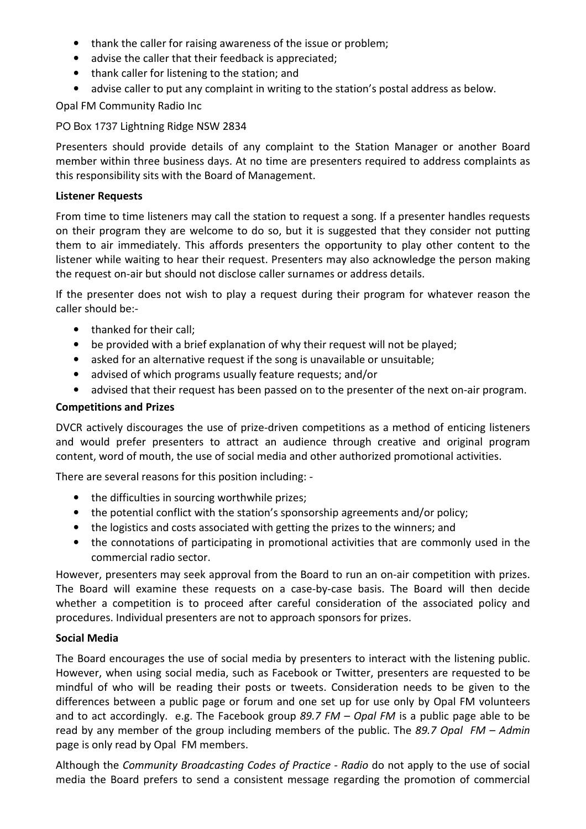- thank the caller for raising awareness of the issue or problem;
- advise the caller that their feedback is appreciated;
- thank caller for listening to the station; and
- advise caller to put any complaint in writing to the station's postal address as below.

Opal FM Community Radio Inc

PO Box 1737 Lightning Ridge NSW 2834

Presenters should provide details of any complaint to the Station Manager or another Board member within three business days. At no time are presenters required to address complaints as this responsibility sits with the Board of Management.

### **Listener Requests**

From time to time listeners may call the station to request a song. If a presenter handles requests on their program they are welcome to do so, but it is suggested that they consider not putting them to air immediately. This affords presenters the opportunity to play other content to the listener while waiting to hear their request. Presenters may also acknowledge the person making the request on-air but should not disclose caller surnames or address details.

If the presenter does not wish to play a request during their program for whatever reason the caller should be:-

- thanked for their call:
- be provided with a brief explanation of why their request will not be played;
- asked for an alternative request if the song is unavailable or unsuitable;
- advised of which programs usually feature requests; and/or
- advised that their request has been passed on to the presenter of the next on-air program.

# **Competitions and Prizes**

DVCR actively discourages the use of prize-driven competitions as a method of enticing listeners and would prefer presenters to attract an audience through creative and original program content, word of mouth, the use of social media and other authorized promotional activities.

There are several reasons for this position including: -

- the difficulties in sourcing worthwhile prizes;
- the potential conflict with the station's sponsorship agreements and/or policy;
- the logistics and costs associated with getting the prizes to the winners; and
- the connotations of participating in promotional activities that are commonly used in the commercial radio sector.

However, presenters may seek approval from the Board to run an on-air competition with prizes. The Board will examine these requests on a case-by-case basis. The Board will then decide whether a competition is to proceed after careful consideration of the associated policy and procedures. Individual presenters are not to approach sponsors for prizes.

# **Social Media**

The Board encourages the use of social media by presenters to interact with the listening public. However, when using social media, such as Facebook or Twitter, presenters are requested to be mindful of who will be reading their posts or tweets. Consideration needs to be given to the differences between a public page or forum and one set up for use only by Opal FM volunteers and to act accordingly. e.g. The Facebook group *89.7 FM – Opal FM* is a public page able to be read by any member of the group including members of the public. The *89.7 Opal FM – Admin* page is only read by Opal FM members.

Although the *Community Broadcasting Codes of Practice - Radio* do not apply to the use of social media the Board prefers to send a consistent message regarding the promotion of commercial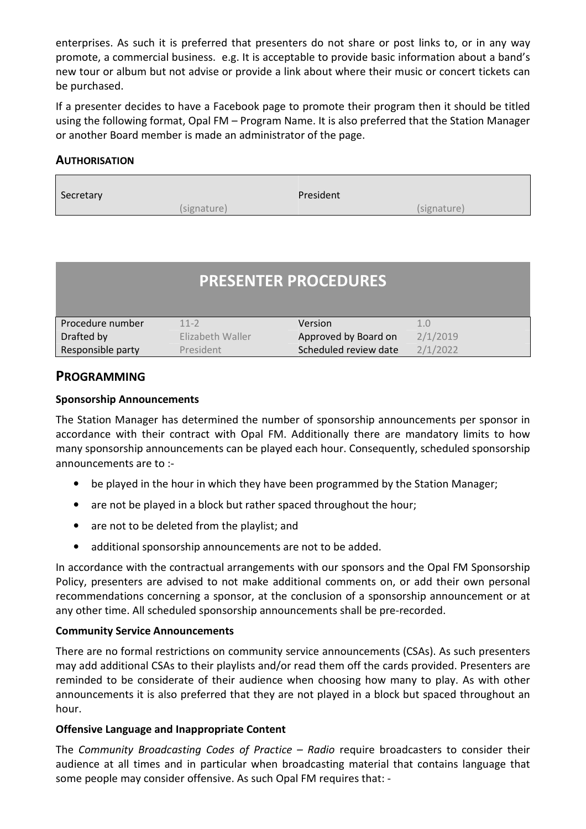enterprises. As such it is preferred that presenters do not share or post links to, or in any way promote, a commercial business. e.g. It is acceptable to provide basic information about a band's new tour or album but not advise or provide a link about where their music or concert tickets can be purchased.

If a presenter decides to have a Facebook page to promote their program then it should be titled using the following format, Opal FM – Program Name. It is also preferred that the Station Manager or another Board member is made an administrator of the page.

### **AUTHORISATION**

| Secretary   | President   |
|-------------|-------------|
| (signature) | (signature) |

|                   |                  | <b>PRESENTER PROCEDURES</b> |          |
|-------------------|------------------|-----------------------------|----------|
| Procedure number  | $11-2$           | Version                     | 1.0      |
| Drafted by        | Elizabeth Waller | Approved by Board on        | 2/1/2019 |
| Responsible party | President        | Scheduled review date       | 2/1/2022 |

# **PROGRAMMING**

#### **Sponsorship Announcements**

The Station Manager has determined the number of sponsorship announcements per sponsor in accordance with their contract with Opal FM. Additionally there are mandatory limits to how many sponsorship announcements can be played each hour. Consequently, scheduled sponsorship announcements are to :-

- be played in the hour in which they have been programmed by the Station Manager;
- are not be played in a block but rather spaced throughout the hour;
- are not to be deleted from the playlist; and
- additional sponsorship announcements are not to be added.

In accordance with the contractual arrangements with our sponsors and the Opal FM Sponsorship Policy, presenters are advised to not make additional comments on, or add their own personal recommendations concerning a sponsor, at the conclusion of a sponsorship announcement or at any other time. All scheduled sponsorship announcements shall be pre-recorded.

#### **Community Service Announcements**

There are no formal restrictions on community service announcements (CSAs). As such presenters may add additional CSAs to their playlists and/or read them off the cards provided. Presenters are reminded to be considerate of their audience when choosing how many to play. As with other announcements it is also preferred that they are not played in a block but spaced throughout an hour.

#### **Offensive Language and Inappropriate Content**

The *Community Broadcasting Codes of Practice – Radio* require broadcasters to consider their audience at all times and in particular when broadcasting material that contains language that some people may consider offensive. As such Opal FM requires that: -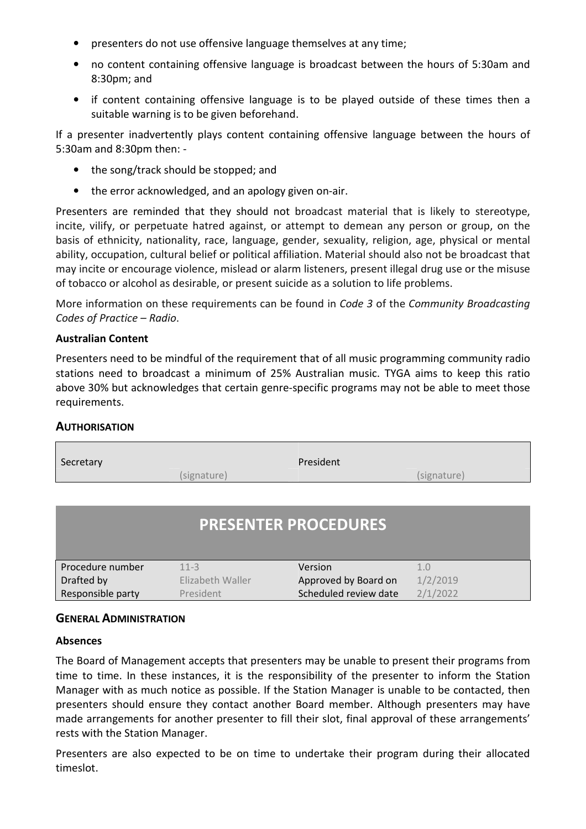- presenters do not use offensive language themselves at any time;
- no content containing offensive language is broadcast between the hours of 5:30am and 8:30pm; and
- if content containing offensive language is to be played outside of these times then a suitable warning is to be given beforehand.

If a presenter inadvertently plays content containing offensive language between the hours of 5:30am and 8:30pm then: -

- the song/track should be stopped; and
- the error acknowledged, and an apology given on-air.

Presenters are reminded that they should not broadcast material that is likely to stereotype, incite, vilify, or perpetuate hatred against, or attempt to demean any person or group, on the basis of ethnicity, nationality, race, language, gender, sexuality, religion, age, physical or mental ability, occupation, cultural belief or political affiliation. Material should also not be broadcast that may incite or encourage violence, mislead or alarm listeners, present illegal drug use or the misuse of tobacco or alcohol as desirable, or present suicide as a solution to life problems.

More information on these requirements can be found in *Code 3* of the *Community Broadcasting Codes of Practice – Radio*.

#### **Australian Content**

Presenters need to be mindful of the requirement that of all music programming community radio stations need to broadcast a minimum of 25% Australian music. TYGA aims to keep this ratio above 30% but acknowledges that certain genre-specific programs may not be able to meet those requirements.

#### **AUTHORISATION**

| President<br>(signature)                | (signature)                                         |  |  |  |
|-----------------------------------------|-----------------------------------------------------|--|--|--|
| <b>PRESENTER PROCEDURES</b>             |                                                     |  |  |  |
| Version<br>$11 - 3$<br>Elizabeth Waller | 1.0<br>1/2/2019<br>Approved by Board on<br>2/1/2022 |  |  |  |
|                                         | Scheduled review date<br>President                  |  |  |  |

#### **GENERAL ADMINISTRATION**

#### **Absences**

The Board of Management accepts that presenters may be unable to present their programs from time to time. In these instances, it is the responsibility of the presenter to inform the Station Manager with as much notice as possible. If the Station Manager is unable to be contacted, then presenters should ensure they contact another Board member. Although presenters may have made arrangements for another presenter to fill their slot, final approval of these arrangements' rests with the Station Manager.

Presenters are also expected to be on time to undertake their program during their allocated timeslot.